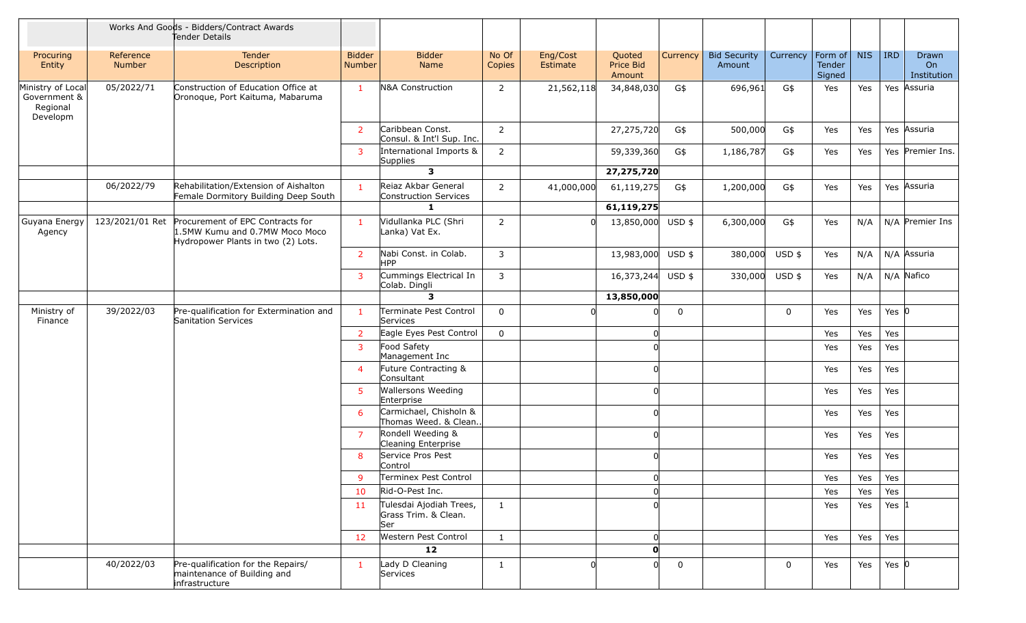|                                                           |                            | Works And Goods - Bidders/Contract Awards<br>Tender Details                                              |                                |                                                         |                 |                      |                               |             |                               |             |                             |            |            |                            |
|-----------------------------------------------------------|----------------------------|----------------------------------------------------------------------------------------------------------|--------------------------------|---------------------------------------------------------|-----------------|----------------------|-------------------------------|-------------|-------------------------------|-------------|-----------------------------|------------|------------|----------------------------|
| Procuring<br>Entity                                       | Reference<br><b>Number</b> | Tender<br>Description                                                                                    | <b>Bidder</b><br><b>Number</b> | <b>Bidder</b><br>Name                                   | No Of<br>Copies | Eng/Cost<br>Estimate | Quoted<br>Price Bid<br>Amount | Currency    | <b>Bid Security</b><br>Amount | Currency    | Form of<br>Tender<br>Signed | <b>NIS</b> | <b>IRD</b> | Drawn<br>On<br>Institution |
| Ministry of Local<br>Government &<br>Regional<br>Developm | 05/2022/71                 | Construction of Education Office at<br>Oronoque, Port Kaituma, Mabaruma                                  | $\mathbf{1}$                   | N&A Construction                                        | $\overline{2}$  | 21,562,118           | 34,848,030                    | G\$         | 696,961                       | G\$         | Yes                         | Yes        |            | Yes Assuria                |
|                                                           |                            |                                                                                                          | $\overline{2}$                 | Caribbean Const.<br>Consul. & Int'l Sup. Inc.           | $\overline{2}$  |                      | 27,275,720                    | G\$         | 500,000                       | G\$         | Yes                         | Yes        |            | Yes Assuria                |
|                                                           |                            |                                                                                                          | 3                              | International Imports &<br>Supplies                     | $\overline{2}$  |                      | 59,339,360                    | G\$         | 1,186,787                     | G\$         | Yes                         | Yes        |            | Yes Premier Ins.           |
|                                                           |                            |                                                                                                          |                                | $\mathbf{3}$                                            |                 |                      | 27,275,720                    |             |                               |             |                             |            |            |                            |
|                                                           | 06/2022/79                 | Rehabilitation/Extension of Aishalton<br>Female Dormitory Building Deep South                            | $\mathbf{1}$                   | Reiaz Akbar General<br>Construction Services            | $\overline{2}$  | 41,000,000           | 61,119,275                    | G\$         | 1,200,000                     | G\$         | Yes                         | Yes        |            | Yes Assuria                |
|                                                           |                            |                                                                                                          |                                | -1                                                      |                 |                      | 61,119,275                    |             |                               |             |                             |            |            |                            |
| Guyana Energy<br>Agency                                   | 123/2021/01 Ret            | Procurement of EPC Contracts for<br>1.5MW Kumu and 0.7MW Moco Moco<br>Hydropower Plants in two (2) Lots. | $\mathbf{1}$                   | Vidullanka PLC (Shri<br>Lanka) Vat Ex.                  | 2               | U                    | 13,850,000                    | $USD$ \$    | 6,300,000                     | G\$         | Yes                         | N/A        |            | $N/A$ Premier Ins          |
|                                                           |                            |                                                                                                          | $\overline{2}$                 | Nabi Const. in Colab.<br>HPP.                           | 3               |                      | 13,983,000 USD \$             |             | 380,000                       | USD \$      | Yes                         | N/A        |            | N/A Assuria                |
|                                                           |                            |                                                                                                          | 3                              | Cummings Electrical In<br>Colab. Dingli                 | 3               |                      | 16,373,244                    | $USD$ \$    | 330,000                       | USD \$      | Yes                         | N/A        |            | N/A Nafico                 |
|                                                           |                            |                                                                                                          |                                | 3                                                       |                 |                      | 13,850,000                    |             |                               |             |                             |            |            |                            |
| Ministry of<br>Finance                                    | 39/2022/03                 | Pre-qualification for Extermination and<br>Sanitation Services                                           | $\mathbf{1}$                   | Terminate Pest Control<br>Services                      | $\mathbf 0$     |                      |                               | 0           |                               | $\mathbf 0$ | Yes                         | Yes        | Yes $ 0 $  |                            |
|                                                           |                            |                                                                                                          | $\overline{2}$                 | Eagle Eyes Pest Control                                 | 0               |                      |                               |             |                               |             | Yes                         | Yes        | Yes        |                            |
|                                                           |                            |                                                                                                          | 3                              | Food Safety<br>Management Inc                           |                 |                      |                               |             |                               |             | Yes                         | Yes        | Yes        |                            |
|                                                           |                            |                                                                                                          | $\overline{4}$                 | Future Contracting &<br>Consultant                      |                 |                      |                               |             |                               |             | Yes                         | Yes        | Yes        |                            |
|                                                           |                            |                                                                                                          | 5                              | <b>Wallersons Weeding</b><br>Enterprise                 |                 |                      |                               |             |                               |             | Yes                         | Yes        | Yes        |                            |
|                                                           |                            |                                                                                                          | 6                              | Carmichael, Chisholn &<br>Thomas Weed. & Clean          |                 |                      |                               |             |                               |             | Yes                         | Yes        | Yes        |                            |
|                                                           |                            |                                                                                                          | $\overline{7}$                 | Rondell Weeding &<br>Cleaning Enterprise                |                 |                      |                               |             |                               |             | Yes                         | Yes        | Yes        |                            |
|                                                           |                            |                                                                                                          | 8                              | Service Pros Pest<br>Control                            |                 |                      |                               |             |                               |             | Yes                         | Yes        | Yes        |                            |
|                                                           |                            |                                                                                                          | 9                              | Terminex Pest Control                                   |                 |                      | 0                             |             |                               |             | Yes                         | Yes        | Yes        |                            |
|                                                           |                            |                                                                                                          | 10                             | Rid-O-Pest Inc.                                         |                 |                      |                               |             |                               |             | Yes                         | Yes        | Yes        |                            |
|                                                           |                            |                                                                                                          | 11                             | Tulesdai Ajodiah Trees,<br>Grass Trim. & Clean.<br> Ser | $\mathbf{1}$    |                      |                               |             |                               |             | Yes                         | Yes        | Yes $ 1 $  |                            |
|                                                           |                            |                                                                                                          | 12                             | Western Pest Control                                    | $\mathbf{1}$    |                      | 0                             |             |                               |             | Yes                         | Yes        | Yes        |                            |
|                                                           |                            |                                                                                                          |                                | 12                                                      |                 |                      | $\mathbf{0}$                  |             |                               |             |                             |            |            |                            |
|                                                           | 40/2022/03                 | Pre-qualification for the Repairs/<br>maintenance of Building and<br>infrastructure                      | $\mathbf{1}$                   | Lady D Cleaning<br>Services                             | $\mathbf{1}$    | n                    | <sup>n</sup>                  | $\mathbf 0$ |                               | $\mathbf 0$ | Yes                         | Yes        | Yes $ 0 $  |                            |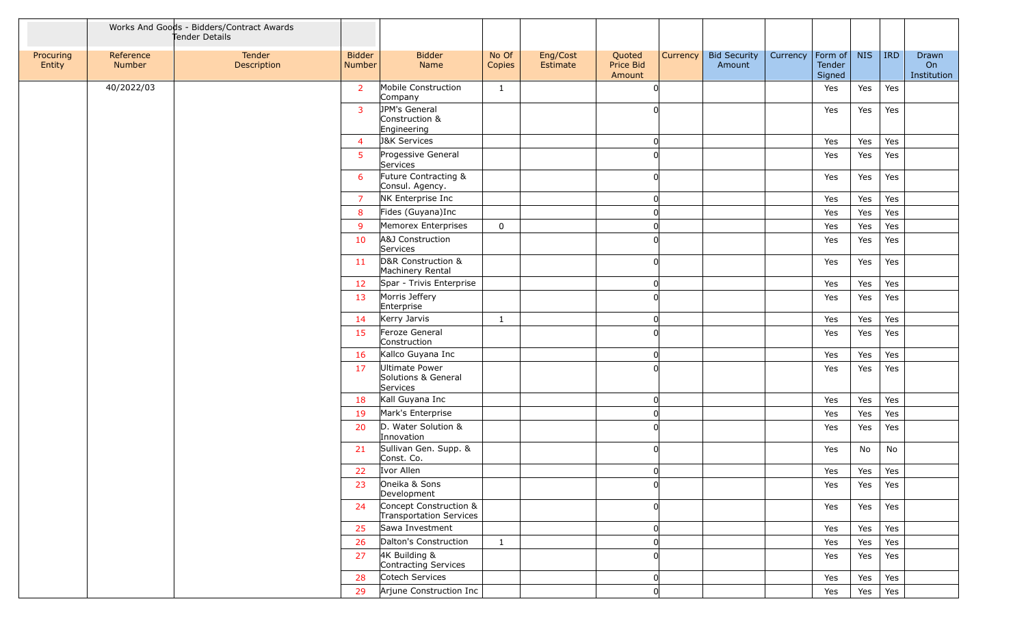|                     |                     | Works And Goods - Bidders/Contract Awards<br>Tender Details |                         |                                                   |                 |                      |                               |          |                               |          |                                     |            |     |                            |
|---------------------|---------------------|-------------------------------------------------------------|-------------------------|---------------------------------------------------|-----------------|----------------------|-------------------------------|----------|-------------------------------|----------|-------------------------------------|------------|-----|----------------------------|
| Procuring<br>Entity | Reference<br>Number | Tender<br>Description                                       | <b>Bidder</b><br>Number | <b>Bidder</b><br>Name                             | No Of<br>Copies | Eng/Cost<br>Estimate | Quoted<br>Price Bid<br>Amount | Currency | <b>Bid Security</b><br>Amount | Currency | Form of $\vert$<br>Tender<br>Signed | <b>NIS</b> | IRD | Drawn<br>On<br>Institution |
|                     | 40/2022/03          |                                                             | $\overline{2}$          | Mobile Construction<br>Company                    | $\mathbf{1}$    |                      | $\Omega$                      |          |                               |          | Yes                                 | Yes        | Yes |                            |
|                     |                     |                                                             | $\overline{3}$          | JPM's General<br>Construction &<br>Engineering    |                 |                      | <sup>n</sup>                  |          |                               |          | Yes                                 | Yes        | Yes |                            |
|                     |                     |                                                             | $\overline{4}$          | <b>J&amp;K Services</b>                           |                 |                      | 0                             |          |                               |          | Yes                                 | Yes        | Yes |                            |
|                     |                     |                                                             | 5                       | Progessive General<br>Services                    |                 |                      | $\Omega$                      |          |                               |          | Yes                                 | Yes        | Yes |                            |
|                     |                     |                                                             | 6                       | Future Contracting &<br>Consul. Agency.           |                 |                      | $\Omega$                      |          |                               |          | Yes                                 | Yes        | Yes |                            |
|                     |                     |                                                             | $\overline{7}$          | NK Enterprise Inc                                 |                 |                      | 0                             |          |                               |          | Yes                                 | Yes        | Yes |                            |
|                     |                     |                                                             | 8                       | Fides (Guyana)Inc                                 |                 |                      | 0                             |          |                               |          | Yes                                 | Yes        | Yes |                            |
|                     |                     |                                                             | 9                       | Memorex Enterprises                               | 0               |                      | <sup>0</sup>                  |          |                               |          | Yes                                 | Yes        | Yes |                            |
|                     |                     |                                                             | 10                      | A&J Construction<br>Services                      |                 |                      | 0                             |          |                               |          | Yes                                 | Yes        | Yes |                            |
|                     |                     |                                                             | 11                      | D&R Construction &<br>Machinery Rental            |                 |                      | $\Omega$                      |          |                               |          | Yes                                 | Yes        | Yes |                            |
|                     |                     |                                                             | 12                      | Spar - Trivis Enterprise                          |                 |                      | O                             |          |                               |          | Yes                                 | Yes        | Yes |                            |
|                     |                     |                                                             | 13                      | Morris Jeffery<br>Enterprise                      |                 |                      | $\Omega$                      |          |                               |          | Yes                                 | Yes        | Yes |                            |
|                     |                     |                                                             | 14                      | Kerry Jarvis                                      | $\mathbf{1}$    |                      | 0                             |          |                               |          | Yes                                 | Yes        | Yes |                            |
|                     |                     |                                                             | 15                      | Feroze General<br>Construction                    |                 |                      | $\Omega$                      |          |                               |          | Yes                                 | Yes        | Yes |                            |
|                     |                     |                                                             | 16                      | Kallco Guyana Inc                                 |                 |                      | 0                             |          |                               |          | Yes                                 | Yes        | Yes |                            |
|                     |                     |                                                             | 17                      | Ultimate Power<br>Solutions & General<br>Services |                 |                      | <sup>n</sup>                  |          |                               |          | Yes                                 | Yes        | Yes |                            |
|                     |                     |                                                             | 18                      | Kall Guyana Inc                                   |                 |                      | 0                             |          |                               |          | Yes                                 | Yes        | Yes |                            |
|                     |                     |                                                             | 19                      | Mark's Enterprise                                 |                 |                      | 0                             |          |                               |          | Yes                                 | Yes        | Yes |                            |
|                     |                     |                                                             | 20                      | D. Water Solution &<br>Innovation                 |                 |                      | n                             |          |                               |          | Yes                                 | Yes        | Yes |                            |
|                     |                     |                                                             | 21                      | Sullivan Gen. Supp. &<br>Const. Co.               |                 |                      | <sup>n</sup>                  |          |                               |          | Yes                                 | No         | No  |                            |
|                     |                     |                                                             | 22                      | Ivor Allen                                        |                 |                      | ∩                             |          |                               |          | Yes                                 | Yes        | Yes |                            |
|                     |                     |                                                             | 23                      | Oneika & Sons<br>Development                      |                 |                      | <sup>n</sup>                  |          |                               |          | Yes                                 | Yes        | Yes |                            |
|                     |                     |                                                             | 24                      | Concept Construction &<br>Transportation Services |                 |                      | <sup>n</sup>                  |          |                               |          | Yes                                 | Yes        | Yes |                            |
|                     |                     |                                                             | 25                      | Sawa Investment                                   |                 |                      | 0                             |          |                               |          | Yes                                 | Yes        | Yes |                            |
|                     |                     |                                                             | 26                      | Dalton's Construction                             | $\mathbf{1}$    |                      | $\Omega$                      |          |                               |          | Yes                                 | Yes        | Yes |                            |
|                     |                     |                                                             | 27                      | 4K Building &<br>Contracting Services             |                 |                      | <sup>n</sup>                  |          |                               |          | Yes                                 | Yes        | Yes |                            |
|                     |                     |                                                             | 28                      | Cotech Services                                   |                 |                      | 0                             |          |                               |          | Yes                                 | Yes        | Yes |                            |
|                     |                     |                                                             | 29                      | Arjune Construction Inc                           |                 |                      | <sup>n</sup>                  |          |                               |          | Yes                                 | Yes        | Yes |                            |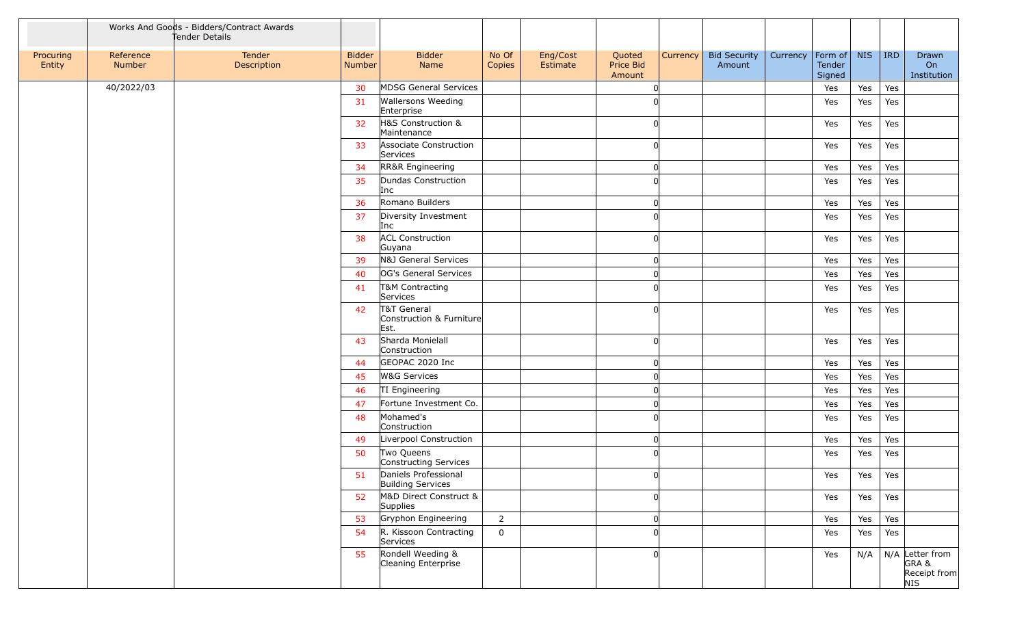|                     |                     | Works And Goods - Bidders/Contract Awards<br>Tender Details |                         |                                                  |                 |                      |                               |          |                               |          |                                     |             |     |                                                |
|---------------------|---------------------|-------------------------------------------------------------|-------------------------|--------------------------------------------------|-----------------|----------------------|-------------------------------|----------|-------------------------------|----------|-------------------------------------|-------------|-----|------------------------------------------------|
| Procuring<br>Entity | Reference<br>Number | Tender<br>Description                                       | <b>Bidder</b><br>Number | Bidder<br>Name                                   | No Of<br>Copies | Eng/Cost<br>Estimate | Quoted<br>Price Bid<br>Amount | Currency | <b>Bid Security</b><br>Amount | Currency | Form of $\vert$<br>Tender<br>Signed | <b>NIS</b>  | IRD | Drawn<br>On<br>Institution                     |
|                     | 40/2022/03          |                                                             | 30                      | MDSG General Services                            |                 |                      | <sup>n</sup>                  |          |                               |          | Yes                                 | Yes         | Yes |                                                |
|                     |                     |                                                             | 31                      | <b>Wallersons Weeding</b><br>Enterprise          |                 |                      | n                             |          |                               |          | Yes                                 | Yes         | Yes |                                                |
|                     |                     |                                                             | 32                      | H&S Construction &<br>Maintenance                |                 |                      | $\Omega$                      |          |                               |          | Yes                                 | Yes         | Yes |                                                |
|                     |                     |                                                             | 33                      | Associate Construction<br>Services               |                 |                      | 0                             |          |                               |          | Yes                                 | Yes         | Yes |                                                |
|                     |                     |                                                             | 34                      | RR&R Engineering                                 |                 |                      | 0                             |          |                               |          | Yes                                 | Yes         | Yes |                                                |
|                     |                     |                                                             | 35                      | Dundas Construction<br>Inc                       |                 |                      | n                             |          |                               |          | Yes                                 | Yes         | Yes |                                                |
|                     |                     |                                                             | 36                      | Romano Builders                                  |                 |                      | 0                             |          |                               |          | Yes                                 | Yes         | Yes |                                                |
|                     |                     |                                                             | 37                      | Diversity Investment<br>Inc                      |                 |                      | <sup>n</sup>                  |          |                               |          | Yes                                 | Yes         | Yes |                                                |
|                     |                     |                                                             | 38                      | <b>ACL Construction</b><br>Guyana                |                 |                      | <sup>n</sup>                  |          |                               |          | Yes                                 | Yes         | Yes |                                                |
|                     |                     |                                                             | 39                      | N&J General Services                             |                 |                      | 0                             |          |                               |          | Yes                                 | Yes         | Yes |                                                |
|                     |                     |                                                             | 40                      | OG's General Services                            |                 |                      | $\Omega$                      |          |                               |          | Yes                                 | Yes         | Yes |                                                |
|                     |                     |                                                             | 41                      | T&M Contracting<br>Services                      |                 |                      | <sup>n</sup>                  |          |                               |          | Yes                                 | Yes         | Yes |                                                |
|                     |                     |                                                             | 42                      | T&T General<br>Construction & Furniture<br>Est.  |                 |                      | $\Omega$                      |          |                               |          | Yes                                 | Yes         | Yes |                                                |
|                     |                     |                                                             | 43                      | Sharda Monielall<br>Construction                 |                 |                      | 0                             |          |                               |          | Yes                                 | Yes         | Yes |                                                |
|                     |                     |                                                             | 44                      | GEOPAC 2020 Inc                                  |                 |                      | O                             |          |                               |          | Yes                                 | Yes         | Yes |                                                |
|                     |                     |                                                             | 45                      | <b>W&amp;G Services</b>                          |                 |                      | $\Omega$                      |          |                               |          | Yes                                 | Yes         | Yes |                                                |
|                     |                     |                                                             | 46                      | TI Engineering                                   |                 |                      | O                             |          |                               |          | Yes                                 | Yes         | Yes |                                                |
|                     |                     |                                                             | 47                      | Fortune Investment Co.                           |                 |                      | $\Omega$                      |          |                               |          | Yes                                 | Yes         | Yes |                                                |
|                     |                     |                                                             | 48                      | Mohamed's<br>Construction                        |                 |                      | <sup>n</sup>                  |          |                               |          | Yes                                 | Yes         | Yes |                                                |
|                     |                     |                                                             | 49                      | Liverpool Construction                           |                 |                      | 0                             |          |                               |          | Yes                                 | Yes         | Yes |                                                |
|                     |                     |                                                             | 50                      | Two Queens<br>Constructing Services              |                 |                      | O                             |          |                               |          | Yes                                 | Yes         | Yes |                                                |
|                     |                     |                                                             | 51                      | Daniels Professional<br><b>Building Services</b> |                 |                      | U                             |          |                               |          | Yes                                 | $\vert$ Yes | Yes |                                                |
|                     |                     |                                                             | 52                      | M&D Direct Construct &<br><b>Supplies</b>        |                 |                      | 0                             |          |                               |          | Yes                                 | Yes         | Yes |                                                |
|                     |                     |                                                             | 53                      | Gryphon Engineering                              | $\overline{2}$  |                      | 0                             |          |                               |          | Yes                                 | Yes         | Yes |                                                |
|                     |                     |                                                             | 54                      | R. Kissoon Contracting<br>Services               | $\mathbf 0$     |                      | $\Omega$                      |          |                               |          | Yes                                 | Yes         | Yes |                                                |
|                     |                     |                                                             | 55                      | Rondell Weeding &<br>Cleaning Enterprise         |                 |                      | n                             |          |                               |          | Yes                                 | N/A         |     | N/A Letter from<br>GRA&<br>Receipt from<br>NIS |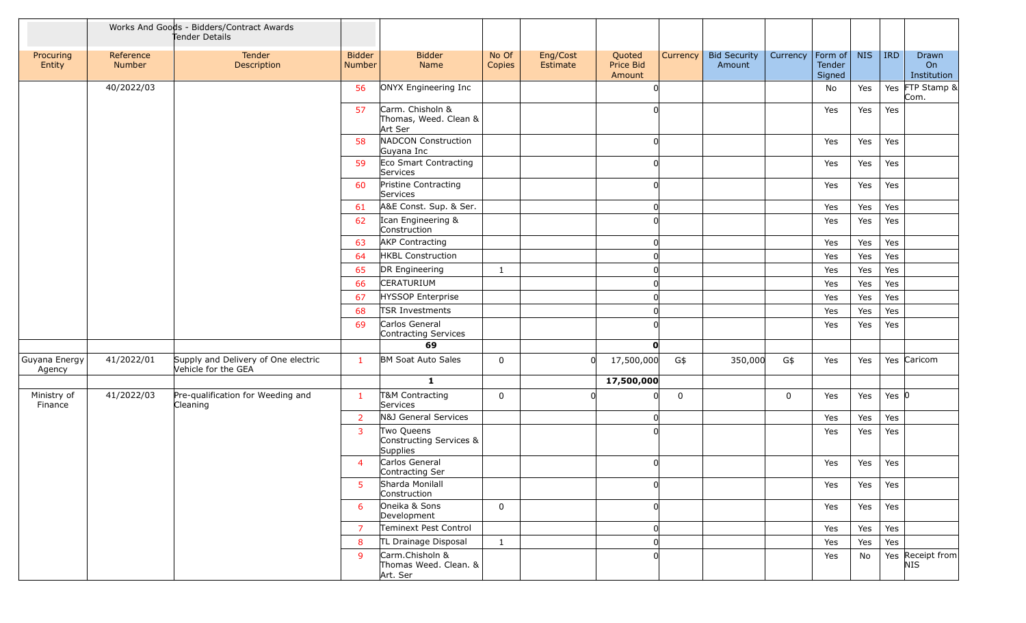|                         |                     | Works And Goods - Bidders/Contract Awards<br>Tender Details |                         |                                                      |                 |                      |                               |          |                               |                        |                  |            |            |                            |
|-------------------------|---------------------|-------------------------------------------------------------|-------------------------|------------------------------------------------------|-----------------|----------------------|-------------------------------|----------|-------------------------------|------------------------|------------------|------------|------------|----------------------------|
| Procuring<br>Entity     | Reference<br>Number | Tender<br>Description                                       | <b>Bidder</b><br>Number | <b>Bidder</b><br>Name                                | No Of<br>Copies | Eng/Cost<br>Estimate | Quoted<br>Price Bid<br>Amount | Currency | <b>Bid Security</b><br>Amount | Currency   Form of $ $ | Tender<br>Signed | <b>NIS</b> | <b>IRD</b> | Drawn<br>On<br>Institution |
|                         | 40/2022/03          |                                                             | 56                      | ONYX Engineering Inc                                 |                 |                      |                               |          |                               |                        | No               | Yes        |            | Yes FTP Stamp &<br>Com.    |
|                         |                     |                                                             | 57                      | Carm. Chisholn &<br>Thomas, Weed. Clean &<br>Art Ser |                 |                      |                               |          |                               |                        | Yes              | Yes        | Yes        |                            |
|                         |                     |                                                             | 58                      | NADCON Construction<br>Guyana Inc                    |                 |                      |                               |          |                               |                        | Yes              | Yes        | Yes        |                            |
|                         |                     |                                                             | 59                      | Eco Smart Contracting<br>Services                    |                 |                      |                               |          |                               |                        | Yes              | Yes        | Yes        |                            |
|                         |                     |                                                             | 60                      | Pristine Contracting<br>Services                     |                 |                      |                               |          |                               |                        | Yes              | Yes        | Yes        |                            |
|                         |                     |                                                             | 61                      | A&E Const. Sup. & Ser.                               |                 |                      |                               |          |                               |                        | Yes              | Yes        | Yes        |                            |
|                         |                     |                                                             | 62                      | Ican Engineering &<br>Construction                   |                 |                      |                               |          |                               |                        | Yes              | Yes        | Yes        |                            |
|                         |                     |                                                             | 63                      | <b>AKP Contracting</b>                               |                 |                      |                               |          |                               |                        | Yes              | Yes        | Yes        |                            |
|                         |                     |                                                             | 64                      | <b>HKBL Construction</b>                             |                 |                      |                               |          |                               |                        | Yes              | Yes        | Yes        |                            |
|                         |                     |                                                             | 65                      | DR Engineering                                       | 1               |                      |                               |          |                               |                        | Yes              | Yes        | Yes        |                            |
|                         |                     |                                                             | 66                      | CERATURIUM                                           |                 |                      |                               |          |                               |                        | Yes              | Yes        | Yes        |                            |
|                         |                     |                                                             | 67                      | <b>HYSSOP Enterprise</b>                             |                 |                      |                               |          |                               |                        | Yes              | Yes        | Yes        |                            |
|                         |                     |                                                             | 68                      | <b>TSR Investments</b>                               |                 |                      |                               |          |                               |                        | Yes              | Yes        | Yes        |                            |
|                         |                     |                                                             | 69                      | Carlos General<br>Contracting Services               |                 |                      |                               |          |                               |                        | Yes              | Yes        | Yes        |                            |
|                         |                     |                                                             |                         | 69                                                   |                 |                      | $\mathbf{0}$                  |          |                               |                        |                  |            |            |                            |
| Guyana Energy<br>Agency | 41/2022/01          | Supply and Delivery of One electric<br>Vehicle for the GEA  | $\mathbf{1}$            | <b>BM Soat Auto Sales</b>                            | 0               | <sup>0</sup>         | 17,500,000                    | G\$      | 350,000                       | G\$                    | Yes              | Yes        |            | Yes Caricom                |
|                         |                     |                                                             |                         | $\mathbf{1}$                                         |                 |                      | 17,500,000                    |          |                               |                        |                  |            |            |                            |
| Ministry of<br>Finance  | 41/2022/03          | Pre-qualification for Weeding and<br>Cleaning               | $\mathbf{1}$            | T&M Contracting<br>Services                          | 0               |                      |                               | 0        |                               | $\mathbf 0$            | Yes              | Yes        | Yes $ 0$   |                            |
|                         |                     |                                                             | $\overline{2}$          | N&J General Services                                 |                 |                      |                               |          |                               |                        | Yes              | Yes        | Yes        |                            |
|                         |                     |                                                             | 3                       | Two Queens<br>Constructing Services &<br>Supplies    |                 |                      |                               |          |                               |                        | Yes              | Yes        | Yes        |                            |
|                         |                     |                                                             | $\overline{4}$          | Carlos General<br>Contracting Ser                    |                 |                      |                               |          |                               |                        | Yes              | Yes        | Yes        |                            |
|                         |                     |                                                             | 5                       | Sharda Monilall<br>Construction                      |                 |                      |                               |          |                               |                        | Yes              | Yes        | Yes        |                            |
|                         |                     |                                                             | 6                       | Oneika & Sons<br>Development                         | $\mathbf 0$     |                      |                               |          |                               |                        | Yes              | Yes        | Yes        |                            |
|                         |                     |                                                             | $\overline{7}$          | Teminext Pest Control                                |                 |                      | 0                             |          |                               |                        | Yes              | Yes        | Yes        |                            |
|                         |                     |                                                             | 8                       | TL Drainage Disposal                                 | $\mathbf{1}$    |                      |                               |          |                               |                        | Yes              | Yes        | Yes        |                            |
|                         |                     |                                                             | -9                      | Carm.Chisholn &<br>Thomas Weed. Clean. &<br>Art. Ser |                 |                      |                               |          |                               |                        | Yes              | No         |            | Yes Receipt from<br>NIS    |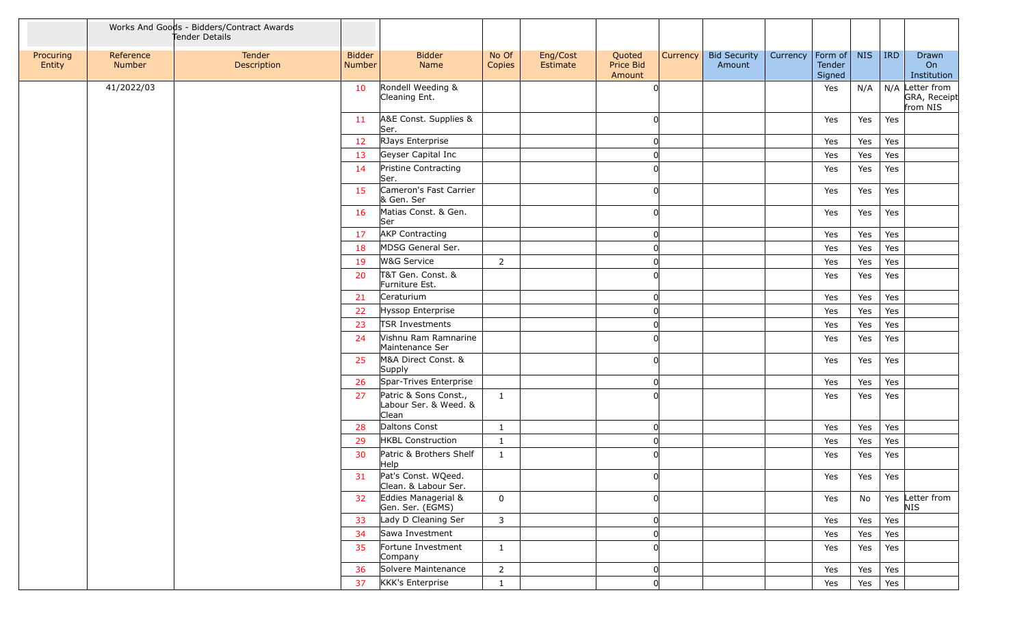|                     |                     | Works And Goods - Bidders/Contract Awards<br>Tender Details |                         |                                                         |                 |                      |                               |          |                               |          |                                     |            |     |                                             |
|---------------------|---------------------|-------------------------------------------------------------|-------------------------|---------------------------------------------------------|-----------------|----------------------|-------------------------------|----------|-------------------------------|----------|-------------------------------------|------------|-----|---------------------------------------------|
| Procuring<br>Entity | Reference<br>Number | Tender<br>Description                                       | <b>Bidder</b><br>Number | <b>Bidder</b><br>Name                                   | No Of<br>Copies | Eng/Cost<br>Estimate | Quoted<br>Price Bid<br>Amount | Currency | <b>Bid Security</b><br>Amount | Currency | Form of $\vert$<br>Tender<br>Signed | <b>NIS</b> | IRD | Drawn<br>On<br>Institution                  |
|                     | 41/2022/03          |                                                             | 10                      | Rondell Weeding &<br>Cleaning Ent.                      |                 |                      | $\Omega$                      |          |                               |          | Yes                                 | N/A        |     | N/A Letter from<br>GRA, Receipt<br>from NIS |
|                     |                     |                                                             | 11                      | A&E Const. Supplies &<br>Ser.                           |                 |                      | 0                             |          |                               |          | Yes                                 | Yes        | Yes |                                             |
|                     |                     |                                                             | 12                      | RJays Enterprise                                        |                 |                      | 0                             |          |                               |          | Yes                                 | Yes        | Yes |                                             |
|                     |                     |                                                             | 13                      | Geyser Capital Inc                                      |                 |                      | $\Omega$                      |          |                               |          | Yes                                 | Yes        | Yes |                                             |
|                     |                     |                                                             | 14                      | Pristine Contracting<br>Ser.                            |                 |                      | <sup>n</sup>                  |          |                               |          | Yes                                 | Yes        | Yes |                                             |
|                     |                     |                                                             | 15                      | Cameron's Fast Carrier<br>& Gen. Ser                    |                 |                      | $\Omega$                      |          |                               |          | Yes                                 | Yes        | Yes |                                             |
|                     |                     |                                                             | 16                      | Matias Const. & Gen.<br>Ser                             |                 |                      | $\Omega$                      |          |                               |          | Yes                                 | Yes        | Yes |                                             |
|                     |                     |                                                             | 17                      | <b>AKP Contracting</b>                                  |                 |                      | $\Omega$                      |          |                               |          | Yes                                 | Yes        | Yes |                                             |
|                     |                     |                                                             | 18                      | MDSG General Ser.                                       |                 |                      | $\Omega$                      |          |                               |          | Yes                                 | Yes        | Yes |                                             |
|                     |                     |                                                             | 19                      | W&G Service                                             | $\overline{2}$  |                      | O                             |          |                               |          | Yes                                 | Yes        | Yes |                                             |
|                     |                     |                                                             | 20                      | T&T Gen. Const. &<br>Furniture Est.                     |                 |                      | <sup>n</sup>                  |          |                               |          | Yes                                 | Yes        | Yes |                                             |
|                     |                     |                                                             | 21                      | Ceraturium                                              |                 |                      | 0                             |          |                               |          | Yes                                 | Yes        | Yes |                                             |
|                     |                     |                                                             | 22                      | Hyssop Enterprise                                       |                 |                      | O                             |          |                               |          | Yes                                 | Yes        | Yes |                                             |
|                     |                     |                                                             | 23                      | TSR Investments                                         |                 |                      | $\Omega$                      |          |                               |          | Yes                                 | Yes        | Yes |                                             |
|                     |                     |                                                             | 24                      | Vishnu Ram Ramnarine<br>Maintenance Ser                 |                 |                      | <sup>n</sup>                  |          |                               |          | Yes                                 | Yes        | Yes |                                             |
|                     |                     |                                                             | 25                      | M&A Direct Const. &<br>Supply                           |                 |                      | <sup>n</sup>                  |          |                               |          | Yes                                 | Yes        | Yes |                                             |
|                     |                     |                                                             | 26                      | Spar-Trives Enterprise                                  |                 |                      | 0                             |          |                               |          | Yes                                 | Yes        | Yes |                                             |
|                     |                     |                                                             | 27                      | Patric & Sons Const.,<br>Labour Ser. & Weed. &<br>Clean | $\mathbf{1}$    |                      | 0                             |          |                               |          | Yes                                 | Yes        | Yes |                                             |
|                     |                     |                                                             | 28                      | Daltons Const                                           | $\mathbf{1}$    |                      | O                             |          |                               |          | Yes                                 | Yes        | Yes |                                             |
|                     |                     |                                                             | 29                      | <b>HKBL Construction</b>                                | $\mathbf{1}$    |                      | $\overline{0}$                |          |                               |          | Yes                                 | Yes        | Yes |                                             |
|                     |                     |                                                             | 30                      | Patric & Brothers Shelf<br>Help                         | $\mathbf{1}$    |                      | $\Omega$                      |          |                               |          | Yes                                 | Yes        | Yes |                                             |
|                     |                     |                                                             | 31                      | Pat's Const. WQeed.<br>Clean. & Labour Ser.             |                 |                      | 0                             |          |                               |          | Yes                                 | Yes        | Yes |                                             |
|                     |                     |                                                             | 32                      | Eddies Managerial &<br>Gen. Ser. (EGMS)                 | $\mathsf{O}$    |                      | 0                             |          |                               |          | Yes                                 | No         |     | Yes Letter from<br><b>NIS</b>               |
|                     |                     |                                                             | 33                      | Lady D Cleaning Ser                                     | 3               |                      | $\overline{0}$                |          |                               |          | Yes                                 | Yes        | Yes |                                             |
|                     |                     |                                                             | 34                      | Sawa Investment                                         |                 |                      | 0                             |          |                               |          | Yes                                 | Yes        | Yes |                                             |
|                     |                     |                                                             | 35                      | Fortune Investment<br>Company                           | $\mathbf{1}$    |                      | <sub>0</sub>                  |          |                               |          | Yes                                 | Yes        | Yes |                                             |
|                     |                     |                                                             | 36                      | Solvere Maintenance                                     | $\overline{2}$  |                      | 0                             |          |                               |          | Yes                                 | Yes        | Yes |                                             |
|                     |                     |                                                             | 37                      | KKK's Enterprise                                        | $\mathbf{1}$    |                      | 0                             |          |                               |          | Yes                                 | Yes        | Yes |                                             |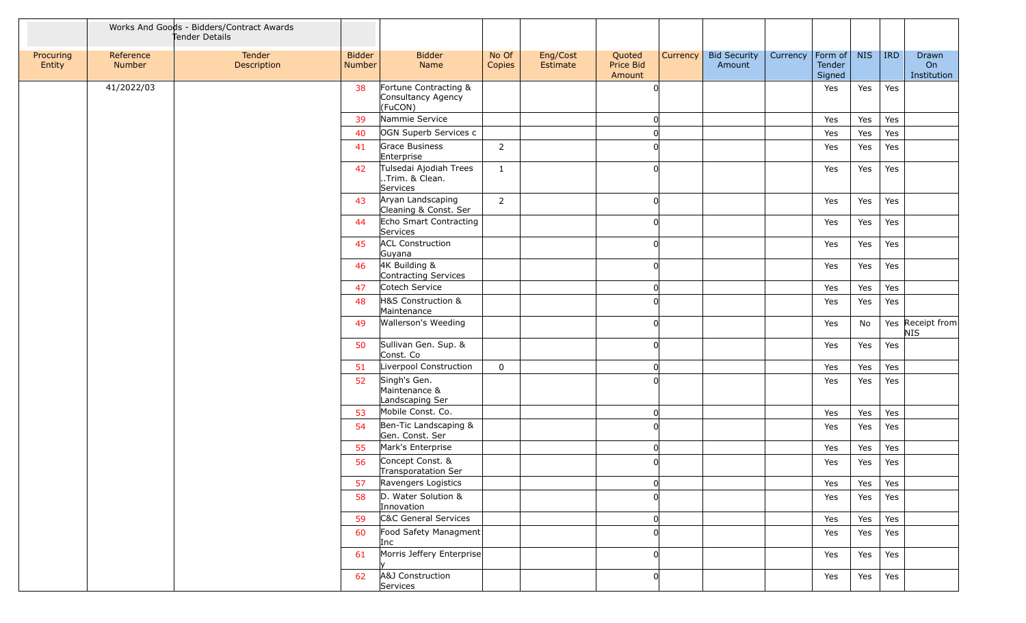|                     |                     | Works And Goods - Bidders/Contract Awards<br>Tender Details |                         |                                                        |                 |                      |                               |          |                               |          |                                     |            |     |                                |
|---------------------|---------------------|-------------------------------------------------------------|-------------------------|--------------------------------------------------------|-----------------|----------------------|-------------------------------|----------|-------------------------------|----------|-------------------------------------|------------|-----|--------------------------------|
| Procuring<br>Entity | Reference<br>Number | Tender<br>Description                                       | <b>Bidder</b><br>Number | <b>Bidder</b><br>Name                                  | No Of<br>Copies | Eng/Cost<br>Estimate | Quoted<br>Price Bid<br>Amount | Currency | <b>Bid Security</b><br>Amount | Currency | $ $ Form of $ $<br>Tender<br>Signed | <b>NIS</b> | IRD | Drawn<br>On<br>Institution     |
|                     | 41/2022/03          |                                                             | 38                      | Fortune Contracting &<br>Consultancy Agency<br>(FuCON) |                 |                      | $\Omega$                      |          |                               |          | Yes                                 | Yes        | Yes |                                |
|                     |                     |                                                             | 39                      | Nammie Service                                         |                 |                      | 0                             |          |                               |          | Yes                                 | Yes        | Yes |                                |
|                     |                     |                                                             | 40                      | OGN Superb Services c                                  |                 |                      | $\Omega$                      |          |                               |          | Yes                                 | Yes        | Yes |                                |
|                     |                     |                                                             | 41                      | Grace Business<br>Enterprise                           | $2^{\circ}$     |                      |                               |          |                               |          | Yes                                 | Yes        | Yes |                                |
|                     |                     |                                                             | 42                      | Tulsedai Ajodiah Trees<br>Trim. & Clean.<br>Services   | $\mathbf{1}$    |                      | <sub>0</sub>                  |          |                               |          | Yes                                 | Yes        | Yes |                                |
|                     |                     |                                                             | 43                      | Aryan Landscaping<br>Cleaning & Const. Ser             | $\overline{2}$  |                      | $\Omega$                      |          |                               |          | Yes                                 | Yes        | Yes |                                |
|                     |                     |                                                             | 44                      | Echo Smart Contracting<br>Services                     |                 |                      | $\Omega$                      |          |                               |          | Yes                                 | Yes        | Yes |                                |
|                     |                     |                                                             | 45                      | <b>ACL Construction</b><br>Guyana                      |                 |                      |                               |          |                               |          | Yes                                 | Yes        | Yes |                                |
|                     |                     |                                                             | 46                      | 4K Building &<br>Contracting Services                  |                 |                      | U                             |          |                               |          | Yes                                 | Yes        | Yes |                                |
|                     |                     |                                                             | 47                      | Cotech Service                                         |                 |                      | 0                             |          |                               |          | Yes                                 | Yes        | Yes |                                |
|                     |                     |                                                             | 48                      | H&S Construction &<br>Maintenance                      |                 |                      | U                             |          |                               |          | Yes                                 | Yes        | Yes |                                |
|                     |                     |                                                             | 49                      | Wallerson's Weeding                                    |                 |                      | U                             |          |                               |          | Yes                                 | No         |     | Yes Receipt from<br><b>NIS</b> |
|                     |                     |                                                             | 50                      | Sullivan Gen. Sup. &<br>Const. Co                      |                 |                      | $\Omega$                      |          |                               |          | Yes                                 | Yes        | Yes |                                |
|                     |                     |                                                             | 51                      | Liverpool Construction                                 | 0               |                      | 0                             |          |                               |          | Yes                                 | Yes        | Yes |                                |
|                     |                     |                                                             | 52                      | Singh's Gen.<br>Maintenance &<br>Landscaping Ser       |                 |                      |                               |          |                               |          | Yes                                 | Yes        | Yes |                                |
|                     |                     |                                                             | 53                      | Mobile Const. Co.                                      |                 |                      | 0                             |          |                               |          | Yes                                 | Yes        | Yes |                                |
|                     |                     |                                                             | 54                      | Ben-Tic Landscaping &<br>Gen. Const. Ser               |                 |                      |                               |          |                               |          | Yes                                 | Yes        | Yes |                                |
|                     |                     |                                                             | 55                      | Mark's Enterprise                                      |                 |                      | 0                             |          |                               |          | Yes                                 | Yes        | Yes |                                |
|                     |                     |                                                             | 56                      | Concept Const. &<br>Transporatation Ser                |                 |                      |                               |          |                               |          | Yes                                 | Yes        | Yes |                                |
|                     |                     |                                                             | 57                      | Ravengers Logistics                                    |                 |                      | 0                             |          |                               |          | Yes                                 | Yes        | Yes |                                |
|                     |                     |                                                             | 58                      | D. Water Solution &<br>Innovation                      |                 |                      | $\Omega$                      |          |                               |          | Yes                                 | Yes        | Yes |                                |
|                     |                     |                                                             | 59                      | C&C General Services                                   |                 |                      | 0                             |          |                               |          | Yes                                 | Yes        | Yes |                                |
|                     |                     |                                                             | 60                      | Food Safety Managment<br>Inc                           |                 |                      |                               |          |                               |          | Yes                                 | Yes        | Yes |                                |
|                     |                     |                                                             | 61                      | Morris Jeffery Enterprise                              |                 |                      | U                             |          |                               |          | Yes                                 | Yes        | Yes |                                |
|                     |                     |                                                             | 62                      | A&J Construction<br>Services                           |                 |                      | 0                             |          |                               |          | Yes                                 | Yes        | Yes |                                |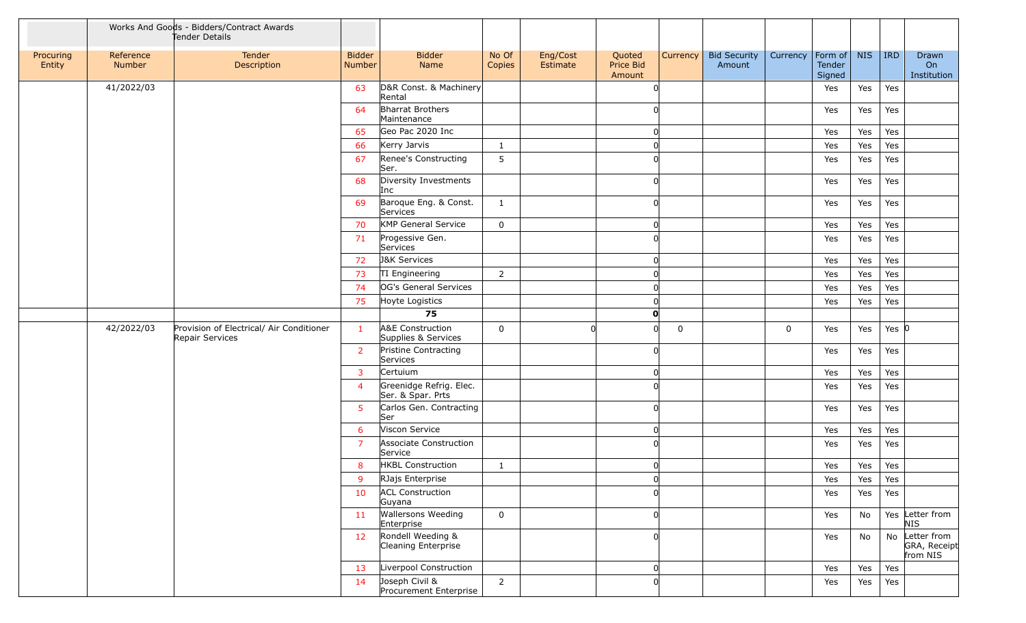|                     |                     | Works And Goods - Bidders/Contract Awards<br>Tender Details |                         |                                              |                 |                      |                               |                 |                               |             |                                     |            |           |                                            |
|---------------------|---------------------|-------------------------------------------------------------|-------------------------|----------------------------------------------|-----------------|----------------------|-------------------------------|-----------------|-------------------------------|-------------|-------------------------------------|------------|-----------|--------------------------------------------|
| Procuring<br>Entity | Reference<br>Number | Tender<br>Description                                       | <b>Bidder</b><br>Number | <b>Bidder</b><br>Name                        | No Of<br>Copies | Eng/Cost<br>Estimate | Quoted<br>Price Bid<br>Amount | <b>Currency</b> | <b>Bid Security</b><br>Amount | Currency    | $ $ Form of $ $<br>Tender<br>Signed | <b>NIS</b> | IRD       | Drawn<br>On<br>Institution                 |
|                     | 41/2022/03          |                                                             | 63                      | D&R Const. & Machinery<br>Rental             |                 |                      |                               |                 |                               |             | Yes                                 | Yes        | Yes       |                                            |
|                     |                     |                                                             | 64                      | Bharrat Brothers<br>Maintenance              |                 |                      |                               |                 |                               |             | Yes                                 | Yes        | Yes       |                                            |
|                     |                     |                                                             | 65                      | Geo Pac 2020 Inc                             |                 |                      |                               |                 |                               |             | Yes                                 | Yes        | Yes       |                                            |
|                     |                     |                                                             | 66                      | Kerry Jarvis                                 | $\mathbf{1}$    |                      |                               |                 |                               |             | Yes                                 | Yes        | Yes       |                                            |
|                     |                     |                                                             | 67                      | Renee's Constructing<br>Ser.                 | 5               |                      |                               |                 |                               |             | Yes                                 | Yes        | Yes       |                                            |
|                     |                     |                                                             | 68                      | Diversity Investments<br>Inc                 |                 |                      |                               |                 |                               |             | Yes                                 | Yes        | Yes       |                                            |
|                     |                     |                                                             | 69                      | Baroque Eng. & Const.<br>Services            | $\mathbf{1}$    |                      | <sup>0</sup>                  |                 |                               |             | Yes                                 | Yes        | Yes       |                                            |
|                     |                     |                                                             | 70                      | <b>KMP General Service</b>                   | $\mathbf 0$     |                      | 0                             |                 |                               |             | Yes                                 | Yes        | Yes       |                                            |
|                     |                     |                                                             | 71                      | Progessive Gen.<br>Services                  |                 |                      |                               |                 |                               |             | Yes                                 | Yes        | Yes       |                                            |
|                     |                     |                                                             | 72                      | <b>J&amp;K Services</b>                      |                 |                      |                               |                 |                               |             | Yes                                 | Yes        | Yes       |                                            |
|                     |                     |                                                             | 73                      | TI Engineering                               | $\overline{2}$  |                      |                               |                 |                               |             | Yes                                 | Yes        | Yes       |                                            |
|                     |                     |                                                             | 74                      | OG's General Services                        |                 |                      |                               |                 |                               |             | Yes                                 | Yes        | Yes       |                                            |
|                     |                     |                                                             | 75                      | Hoyte Logistics                              |                 |                      |                               |                 |                               |             | Yes                                 | Yes        | Yes       |                                            |
|                     |                     |                                                             |                         | 75                                           |                 |                      | O                             |                 |                               |             |                                     |            |           |                                            |
|                     | 42/2022/03          | Provision of Electrical/ Air Conditioner<br>Repair Services | $\mathbf{1}$            | A&E Construction<br>Supplies & Services      | 0               |                      | ∩                             | 0               |                               | $\mathbf 0$ | Yes                                 | Yes        | Yes $ 0 $ |                                            |
|                     |                     |                                                             | $\overline{2}$          | Pristine Contracting<br>Services             |                 |                      | ∩                             |                 |                               |             | Yes                                 | Yes        | Yes       |                                            |
|                     |                     |                                                             | $\overline{3}$          | Certuium                                     |                 |                      | <sup>0</sup>                  |                 |                               |             | Yes                                 | Yes        | Yes       |                                            |
|                     |                     |                                                             | $\overline{4}$          | Greenidge Refrig. Elec.<br>Ser. & Spar. Prts |                 |                      |                               |                 |                               |             | Yes                                 | Yes        | Yes       |                                            |
|                     |                     |                                                             | 5 <sup>5</sup>          | Carlos Gen. Contracting<br>Ser               |                 |                      | <sup>0</sup>                  |                 |                               |             | Yes                                 | Yes        | Yes       |                                            |
|                     |                     |                                                             | 6                       | Viscon Service                               |                 |                      |                               |                 |                               |             | Yes                                 | Yes        | Yes       |                                            |
|                     |                     |                                                             | $\overline{7}$          | Associate Construction<br>Service            |                 |                      |                               |                 |                               |             | Yes                                 | Yes        | Yes       |                                            |
|                     |                     |                                                             | 8                       | <b>HKBL Construction</b>                     | $\mathbf{1}$    |                      |                               |                 |                               |             | Yes                                 | Yes        | Yes       |                                            |
|                     |                     |                                                             | 9                       | RJajs Enterprise                             |                 |                      | $\Omega$                      |                 |                               |             | Yes                                 | Yes        | Yes       |                                            |
|                     |                     |                                                             | 10                      | <b>ACL Construction</b><br>Guyana            |                 |                      |                               |                 |                               |             | Yes                                 | Yes        | Yes       |                                            |
|                     |                     |                                                             | 11                      | <b>Wallersons Weeding</b><br>Enterprise      | 0               |                      | <sup>0</sup>                  |                 |                               |             | Yes                                 | No         |           | Yes Letter from<br>NIS                     |
|                     |                     |                                                             | 12 <sup>7</sup>         | Rondell Weeding &<br>Cleaning Enterprise     |                 |                      |                               |                 |                               |             | Yes                                 | No         |           | No Letter from<br>GRA, Receipt<br>from NIS |
|                     |                     |                                                             | 13                      | Liverpool Construction                       |                 |                      | <sup>0</sup>                  |                 |                               |             | Yes                                 | Yes        | Yes       |                                            |
|                     |                     |                                                             | 14                      | Joseph Civil &<br>Procurement Enterprise     | $\overline{2}$  |                      | <sup>0</sup>                  |                 |                               |             | Yes                                 | Yes        | Yes       |                                            |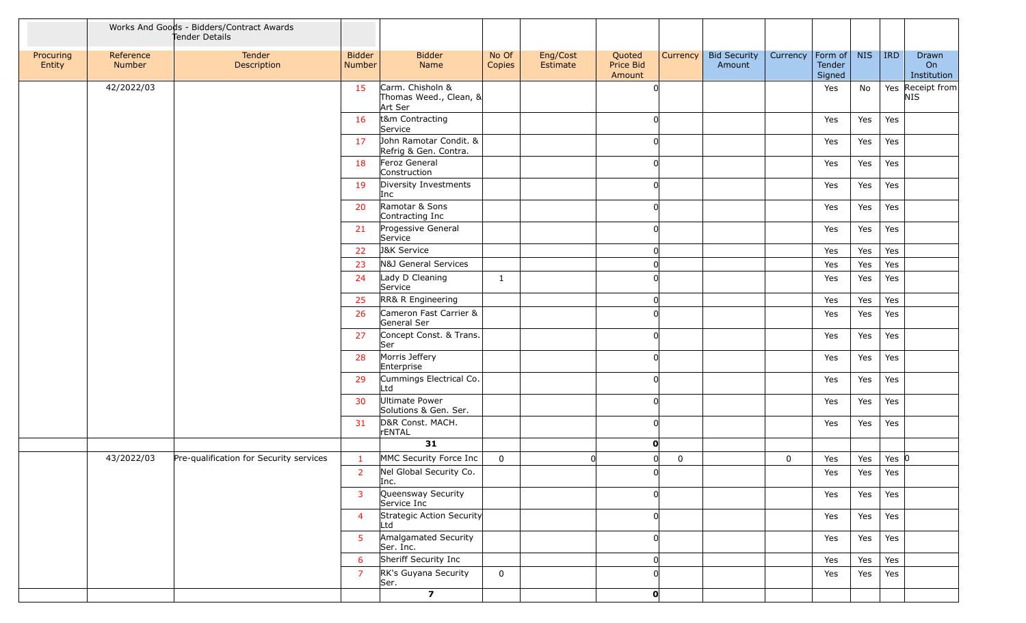|                     |                     | Works And Goods - Bidders/Contract Awards<br>Tender Details |                         |                                                       |                 |                      |                               |                 |                               |                    |                  |            |            |                            |
|---------------------|---------------------|-------------------------------------------------------------|-------------------------|-------------------------------------------------------|-----------------|----------------------|-------------------------------|-----------------|-------------------------------|--------------------|------------------|------------|------------|----------------------------|
| Procuring<br>Entity | Reference<br>Number | Tender<br>Description                                       | <b>Bidder</b><br>Number | <b>Bidder</b><br>Name                                 | No Of<br>Copies | Eng/Cost<br>Estimate | Quoted<br>Price Bid<br>Amount | <b>Currency</b> | <b>Bid Security</b><br>Amount | Currency   Form of | Tender<br>Signed | <b>NIS</b> | <b>IRD</b> | Drawn<br>On<br>Institution |
|                     | 42/2022/03          |                                                             | 15                      | Carm. Chisholn &<br>Thomas Weed., Clean, &<br>Art Ser |                 |                      |                               |                 |                               |                    | Yes              | No         |            | Yes Receipt from<br>NIS    |
|                     |                     |                                                             | 16                      | t&m Contracting<br>Service                            |                 |                      |                               |                 |                               |                    | Yes              | Yes        | Yes        |                            |
|                     |                     |                                                             | 17                      | John Ramotar Condit. &<br>Refrig & Gen. Contra.       |                 |                      |                               |                 |                               |                    | Yes              | Yes        | Yes        |                            |
|                     |                     |                                                             | 18                      | Feroz General<br>Construction                         |                 |                      |                               |                 |                               |                    | Yes              | Yes        | Yes        |                            |
|                     |                     |                                                             | 19                      | Diversity Investments<br>Inc                          |                 |                      |                               |                 |                               |                    | Yes              | Yes        | Yes        |                            |
|                     |                     |                                                             | 20                      | Ramotar & Sons<br>Contracting Inc                     |                 |                      |                               |                 |                               |                    | Yes              | Yes        | Yes        |                            |
|                     |                     |                                                             | 21                      | Progessive General<br>Service                         |                 |                      |                               |                 |                               |                    | Yes              | Yes        | Yes        |                            |
|                     |                     |                                                             | 22                      | <b>J&amp;K Service</b>                                |                 |                      | $\Omega$                      |                 |                               |                    | Yes              | Yes        | Yes        |                            |
|                     |                     |                                                             | 23                      | N&J General Services                                  |                 |                      |                               |                 |                               |                    | Yes              | Yes        | Yes        |                            |
|                     |                     |                                                             | 24                      | Lady D Cleaning<br>Service                            | $\mathbf{1}$    |                      |                               |                 |                               |                    | Yes              | Yes        | Yes        |                            |
|                     |                     |                                                             | 25                      | RR& R Engineering                                     |                 |                      |                               |                 |                               |                    | Yes              | Yes        | Yes        |                            |
|                     |                     |                                                             | 26                      | Cameron Fast Carrier &<br>General Ser                 |                 |                      |                               |                 |                               |                    | Yes              | Yes        | Yes        |                            |
|                     |                     |                                                             | 27                      | Concept Const. & Trans.<br>Ser                        |                 |                      |                               |                 |                               |                    | Yes              | Yes        | Yes        |                            |
|                     |                     |                                                             | 28                      | Morris Jeffery<br>Enterprise                          |                 |                      | 0                             |                 |                               |                    | Yes              | Yes        | Yes        |                            |
|                     |                     |                                                             | 29                      | Cummings Electrical Co.<br>Ltd                        |                 |                      |                               |                 |                               |                    | Yes              | Yes        | Yes        |                            |
|                     |                     |                                                             | 30                      | Ultimate Power<br>Solutions & Gen. Ser.               |                 |                      |                               |                 |                               |                    | Yes              | Yes        | Yes        |                            |
|                     |                     |                                                             | 31                      | D&R Const. MACH.<br><b>rENTAL</b>                     |                 |                      |                               |                 |                               |                    | Yes              | Yes        | Yes        |                            |
|                     |                     |                                                             |                         | 31                                                    |                 |                      | $\mathbf 0$                   |                 |                               |                    |                  |            |            |                            |
|                     | 43/2022/03          | Pre-qualification for Security services                     | $\mathbf{1}$            | MMC Security Force Inc                                | $\mathbf 0$     | $\Omega$             | $\mathbf 0$                   | 0               |                               | $\mathbf 0$        | Yes              | Yes        | Yes $ 0 $  |                            |
|                     |                     |                                                             | $\overline{2}$          | Nel Global Security Co.<br>Inc.                       |                 |                      |                               |                 |                               |                    | Yes              | Yes        | Yes        |                            |
|                     |                     |                                                             | $\overline{3}$          | Queensway Security<br>Service Inc                     |                 |                      |                               |                 |                               |                    | Yes              | Yes        | Yes        |                            |
|                     |                     |                                                             | $\overline{4}$          | Strategic Action Security<br>Ltd                      |                 |                      |                               |                 |                               |                    | Yes              | Yes        | Yes        |                            |
|                     |                     |                                                             | 5 <sup>1</sup>          | Amalgamated Security<br>Ser. Inc.                     |                 |                      |                               |                 |                               |                    | Yes              | Yes        | Yes        |                            |
|                     |                     |                                                             | 6                       | Sheriff Security Inc                                  |                 |                      |                               |                 |                               |                    | Yes              | Yes        | Yes        |                            |
|                     |                     |                                                             | $\overline{7}$          | RK's Guyana Security<br>Ser.                          | $\mathsf{O}$    |                      |                               |                 |                               |                    | Yes              | Yes        | Yes        |                            |
|                     |                     |                                                             |                         | $\overline{\mathbf{z}}$                               |                 |                      | $\mathbf{0}$                  |                 |                               |                    |                  |            |            |                            |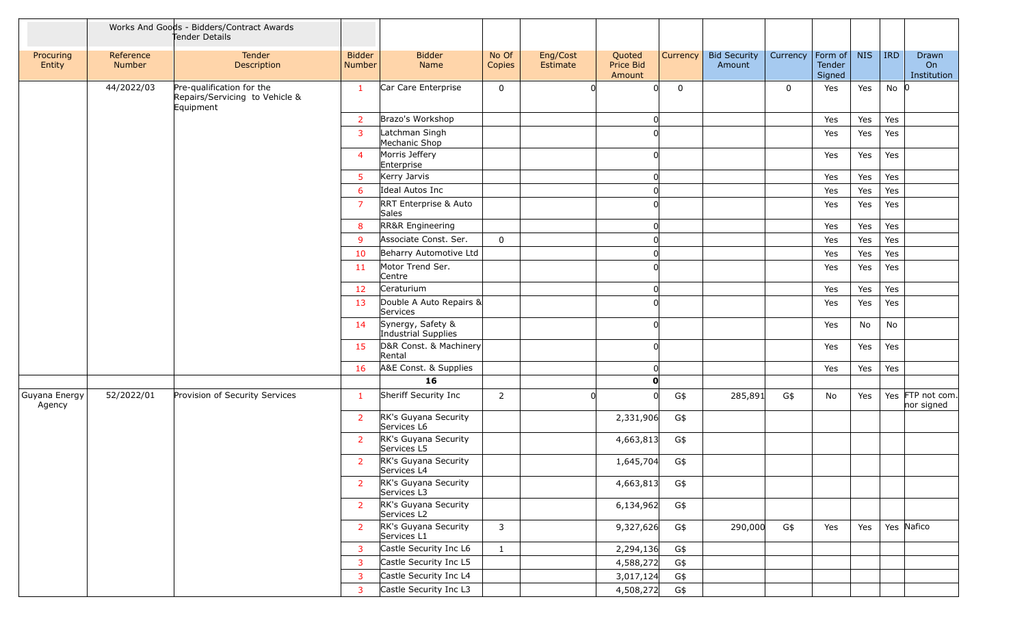|                         |                     | Works And Goods - Bidders/Contract Awards<br>Tender Details              |                         |                                          |                 |                      |                               |          |                               |             |                             |            |            |                                |
|-------------------------|---------------------|--------------------------------------------------------------------------|-------------------------|------------------------------------------|-----------------|----------------------|-------------------------------|----------|-------------------------------|-------------|-----------------------------|------------|------------|--------------------------------|
| Procuring<br>Entity     | Reference<br>Number | Tender<br>Description                                                    | <b>Bidder</b><br>Number | <b>Bidder</b><br>Name                    | No Of<br>Copies | Eng/Cost<br>Estimate | Quoted<br>Price Bid<br>Amount | Currency | <b>Bid Security</b><br>Amount | Currency    | Form of<br>Tender<br>Signed | <b>NIS</b> | <b>IRD</b> | Drawn<br>On<br>Institution     |
|                         | 44/2022/03          | Pre-qualification for the<br>Repairs/Servicing to Vehicle &<br>Equipment | $\mathbf{1}$            | Car Care Enterprise                      | 0               |                      |                               | 0        |                               | $\mathbf 0$ | Yes                         | Yes        | $No$ 0     |                                |
|                         |                     |                                                                          | $\overline{2}$          | Brazo's Workshop                         |                 |                      |                               |          |                               |             | Yes                         | Yes        | Yes        |                                |
|                         |                     |                                                                          | $\overline{3}$          | Latchman Singh<br>Mechanic Shop          |                 |                      |                               |          |                               |             | Yes                         | Yes        | Yes        |                                |
|                         |                     |                                                                          | $\overline{4}$          | Morris Jeffery<br>Enterprise             |                 |                      |                               |          |                               |             | Yes                         | Yes        | Yes        |                                |
|                         |                     |                                                                          | 5 <sup>5</sup>          | Kerry Jarvis                             |                 |                      |                               |          |                               |             | Yes                         | Yes        | Yes        |                                |
|                         |                     |                                                                          | 6                       | Ideal Autos Inc                          |                 |                      |                               |          |                               |             | Yes                         | Yes        | Yes        |                                |
|                         |                     |                                                                          | $\overline{7}$          | RRT Enterprise & Auto<br>Sales           |                 |                      |                               |          |                               |             | Yes                         | Yes        | Yes        |                                |
|                         |                     |                                                                          | 8                       | RR&R Engineering                         |                 |                      | 0                             |          |                               |             | Yes                         | Yes        | Yes        |                                |
|                         |                     |                                                                          | 9                       | Associate Const. Ser.                    | $\mathbf 0$     |                      | 0                             |          |                               |             | Yes                         | Yes        | Yes        |                                |
|                         |                     |                                                                          | 10                      | Beharry Automotive Ltd                   |                 |                      |                               |          |                               |             | Yes                         | Yes        | Yes        |                                |
|                         |                     |                                                                          | 11                      | Motor Trend Ser.<br>Centre               |                 |                      |                               |          |                               |             | Yes                         | Yes        | Yes        |                                |
|                         |                     |                                                                          | 12                      | Ceraturium                               |                 |                      |                               |          |                               |             | Yes                         | Yes        | Yes        |                                |
|                         |                     |                                                                          | 13                      | Double A Auto Repairs &<br>Services      |                 |                      |                               |          |                               |             | Yes                         | Yes        | Yes        |                                |
|                         |                     |                                                                          | 14                      | Synergy, Safety &<br>Industrial Supplies |                 |                      |                               |          |                               |             | Yes                         | No         | No         |                                |
|                         |                     |                                                                          | 15                      | D&R Const. & Machinery<br>Rental         |                 |                      |                               |          |                               |             | Yes                         | Yes        | Yes        |                                |
|                         |                     |                                                                          | 16                      | A&E Const. & Supplies                    |                 |                      |                               |          |                               |             | Yes                         | Yes        | Yes        |                                |
|                         |                     |                                                                          |                         | 16                                       |                 |                      | $\mathbf{0}$                  |          |                               |             |                             |            |            |                                |
| Guyana Energy<br>Agency | 52/2022/01          | Provision of Security Services                                           | $\mathbf{1}$            | Sheriff Security Inc                     | $\overline{2}$  | $\Omega$             |                               | G\$      | 285,891                       | G\$         | No                          | Yes        |            | Yes FTP not com.<br>nor signed |
|                         |                     |                                                                          | <sup>2</sup>            | RK's Guyana Security<br>Services L6      |                 |                      | 2,331,906                     | G\$      |                               |             |                             |            |            |                                |
|                         |                     |                                                                          | $\overline{2}$          | RK's Guyana Security<br>Services L5      |                 |                      | 4,663,813                     | G\$      |                               |             |                             |            |            |                                |
|                         |                     |                                                                          | $\overline{2}$          | RK's Guyana Security<br>Services L4      |                 |                      | 1,645,704                     | G\$      |                               |             |                             |            |            |                                |
|                         |                     |                                                                          | <sup>2</sup>            | RK's Guyana Security<br>Services L3      |                 |                      | 4,663,813                     | G\$      |                               |             |                             |            |            |                                |
|                         |                     |                                                                          | $\overline{2}$          | RK's Guyana Security<br>Services L2      |                 |                      | 6,134,962                     | G\$      |                               |             |                             |            |            |                                |
|                         |                     |                                                                          | $\overline{2}$          | RK's Guyana Security<br>Services L1      | $\mathsf{3}$    |                      | 9,327,626                     | G\$      | 290,000                       | G\$         | Yes                         | Yes        |            | Yes Nafico                     |
|                         |                     |                                                                          | $\mathbf{3}$            | Castle Security Inc L6                   | $\mathbf{1}$    |                      | 2,294,136                     | G\$      |                               |             |                             |            |            |                                |
|                         |                     |                                                                          | $\mathbf{3}$            | Castle Security Inc L5                   |                 |                      | 4,588,272                     | G\$      |                               |             |                             |            |            |                                |
|                         |                     |                                                                          | $\overline{3}$          | Castle Security Inc L4                   |                 |                      | 3,017,124                     | G\$      |                               |             |                             |            |            |                                |
|                         |                     |                                                                          | 3                       | Castle Security Inc L3                   |                 |                      | 4,508,272                     | G\$      |                               |             |                             |            |            |                                |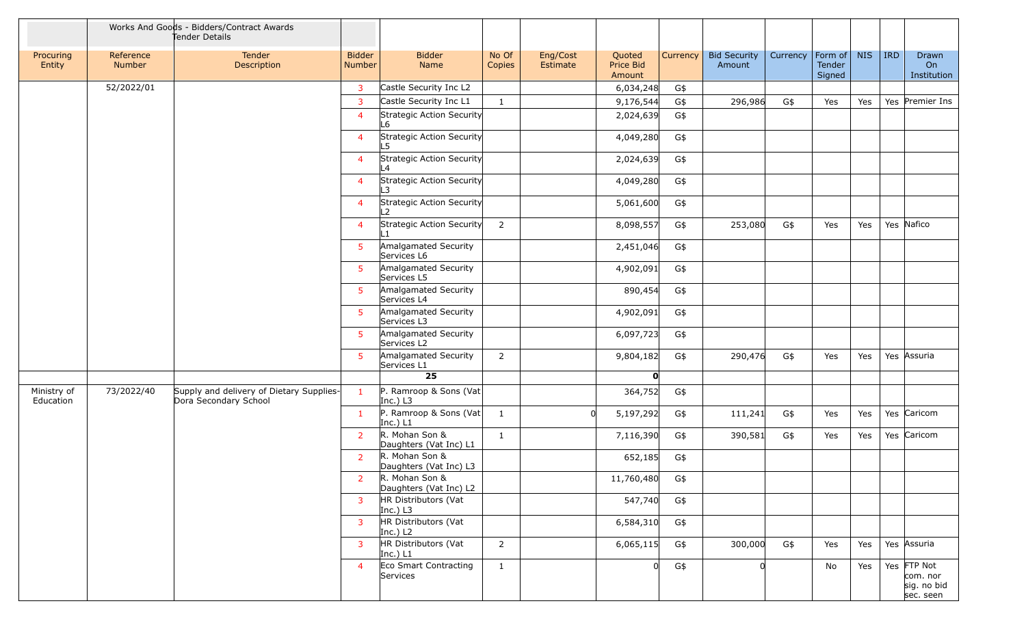|                          |                     | Works And Goods - Bidders/Contract Awards<br>Tender Details       |                                |                                             |                 |                                                       |          |                               |          |                             |            |            |                                                     |
|--------------------------|---------------------|-------------------------------------------------------------------|--------------------------------|---------------------------------------------|-----------------|-------------------------------------------------------|----------|-------------------------------|----------|-----------------------------|------------|------------|-----------------------------------------------------|
| Procuring<br>Entity      | Reference<br>Number | Tender<br>Description                                             | <b>Bidder</b><br><b>Number</b> | <b>Bidder</b><br>Name                       | No Of<br>Copies | Eng/Cost<br>Quoted<br>Price Bid<br>Estimate<br>Amount | Currency | <b>Bid Security</b><br>Amount | Currency | Form of<br>Tender<br>Signed | <b>NIS</b> | <b>IRD</b> | Drawn<br>On<br>Institution                          |
|                          | 52/2022/01          |                                                                   | $\overline{3}$                 | Castle Security Inc L2                      |                 | 6,034,248                                             | G\$      |                               |          |                             |            |            |                                                     |
|                          |                     |                                                                   | $\overline{3}$                 | Castle Security Inc L1                      | $\mathbf{1}$    | 9,176,544                                             | G\$      | 296,986                       | G\$      | Yes                         | Yes        |            | Yes Premier Ins                                     |
|                          |                     |                                                                   | $\overline{4}$                 | Strategic Action Security<br>L6             |                 | 2,024,639                                             | G\$      |                               |          |                             |            |            |                                                     |
|                          |                     |                                                                   | $\overline{4}$                 | Strategic Action Security<br>L5             |                 | 4,049,280                                             | G\$      |                               |          |                             |            |            |                                                     |
|                          |                     |                                                                   | $\overline{4}$                 | Strategic Action Security<br>L4             |                 | 2,024,639                                             | G\$      |                               |          |                             |            |            |                                                     |
|                          |                     |                                                                   | $\overline{4}$                 | Strategic Action Security<br>L3             |                 | 4,049,280                                             | G\$      |                               |          |                             |            |            |                                                     |
|                          |                     |                                                                   | $\overline{4}$                 | Strategic Action Security<br>L <sub>2</sub> |                 | 5,061,600                                             | G\$      |                               |          |                             |            |            |                                                     |
|                          |                     |                                                                   | $\overline{4}$                 | Strategic Action Security                   | $\overline{2}$  | 8,098,557                                             | G\$      | 253,080                       | G\$      | Yes                         | Yes        |            | Yes Nafico                                          |
|                          |                     |                                                                   | 5 <sup>1</sup>                 | Amalgamated Security<br>Services L6         |                 | 2,451,046                                             | G\$      |                               |          |                             |            |            |                                                     |
|                          |                     |                                                                   | 5 <sup>1</sup>                 | Amalgamated Security<br>Services L5         |                 | 4,902,091                                             | G\$      |                               |          |                             |            |            |                                                     |
|                          |                     |                                                                   | 5 <sup>1</sup>                 | Amalgamated Security<br>Services L4         |                 | 890,454                                               | G\$      |                               |          |                             |            |            |                                                     |
|                          |                     |                                                                   | 5                              | Amalgamated Security<br>Services L3         |                 | 4,902,091                                             | G\$      |                               |          |                             |            |            |                                                     |
|                          |                     |                                                                   | 5                              | Amalgamated Security<br>Services L2         |                 | 6,097,723                                             | G\$      |                               |          |                             |            |            |                                                     |
|                          |                     |                                                                   | 5 <sup>1</sup>                 | Amalgamated Security<br>Services L1         | 2               | 9,804,182                                             | G\$      | 290,476                       | G\$      | Yes                         | Yes        |            | Yes Assuria                                         |
|                          |                     |                                                                   |                                | 25                                          |                 | $\mathbf{0}$                                          |          |                               |          |                             |            |            |                                                     |
| Ministry of<br>Education | 73/2022/40          | Supply and delivery of Dietary Supplies-<br>Dora Secondary School | $\mathbf{1}$                   | P. Ramroop & Sons (Vat<br>Inc.) $L3$        |                 | 364,752                                               | G\$      |                               |          |                             |            |            |                                                     |
|                          |                     |                                                                   | $\mathbf{1}$                   | P. Ramroop & Sons (Vat<br>Inc.) $L1$        | $\mathbf{1}$    | 5,197,292                                             | G\$      | 111,241                       | G\$      | Yes                         | Yes        |            | Yes Caricom                                         |
|                          |                     |                                                                   | $\overline{2}$                 | R. Mohan Son &<br>Daughters (Vat Inc) L1    | $\mathbf{1}$    | 7,116,390                                             | G\$      | 390,581                       | G\$      | Yes                         | Yes        |            | Yes Caricom                                         |
|                          |                     |                                                                   | $\overline{2}$                 | R. Mohan Son &<br>Daughters (Vat Inc) L3    |                 | 652,185                                               | G\$      |                               |          |                             |            |            |                                                     |
|                          |                     |                                                                   | <sup>2</sup>                   | R. Mohan Son &<br>Daughters (Vat Inc) L2    |                 | 11,760,480                                            | G\$      |                               |          |                             |            |            |                                                     |
|                          |                     |                                                                   | $\mathbf{3}$                   | HR Distributors (Vat<br>Inc.) $L3$          |                 | 547,740                                               | G\$      |                               |          |                             |            |            |                                                     |
|                          |                     |                                                                   | $\overline{3}$                 | HR Distributors (Vat<br>Inc.) $L2$          |                 | 6,584,310                                             | G\$      |                               |          |                             |            |            |                                                     |
|                          |                     |                                                                   | $\overline{3}$                 | HR Distributors (Vat<br>Inc.) $L1$          | $\overline{2}$  | 6,065,115                                             | G\$      | 300,000                       | G\$      | Yes                         | Yes        |            | Yes Assuria                                         |
|                          |                     |                                                                   | $\overline{4}$                 | Eco Smart Contracting<br>Services           | $\mathbf{1}$    | <sup>0</sup>                                          | G\$      | <sup>0</sup>                  |          | No                          | Yes        |            | Yes FTP Not<br>com. nor<br>sig. no bid<br>sec. seen |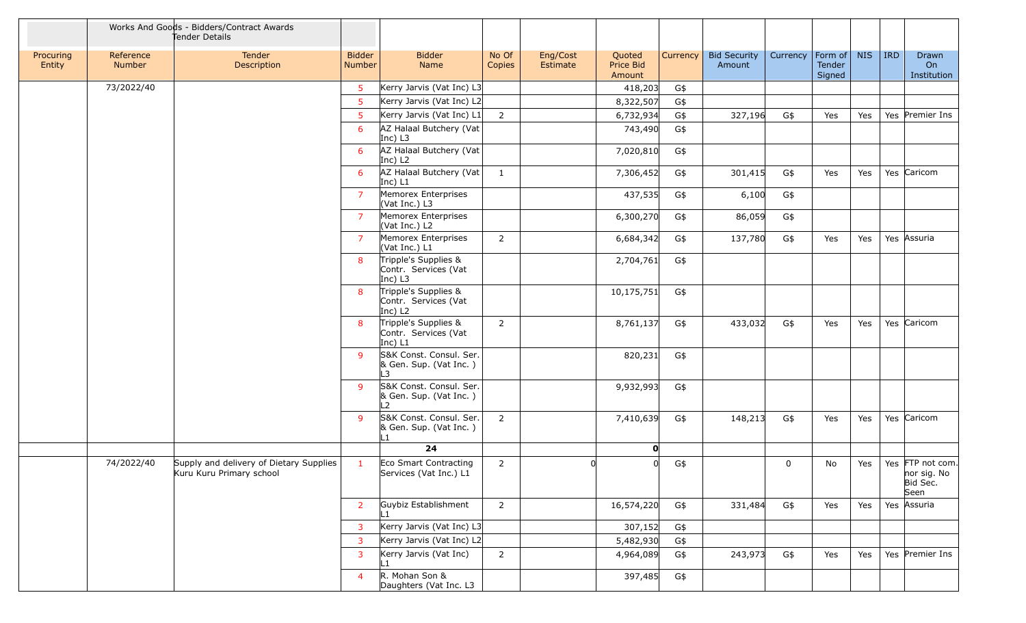|                     |                            | Works And Goods - Bidders/Contract Awards<br>Tender Details         |                         |                                                                     |                 |                      |                               |          |                               |             |                                     |            |            |                                                     |
|---------------------|----------------------------|---------------------------------------------------------------------|-------------------------|---------------------------------------------------------------------|-----------------|----------------------|-------------------------------|----------|-------------------------------|-------------|-------------------------------------|------------|------------|-----------------------------------------------------|
| Procuring<br>Entity | Reference<br><b>Number</b> | Tender<br>Description                                               | <b>Bidder</b><br>Number | <b>Bidder</b><br>Name                                               | No Of<br>Copies | Eng/Cost<br>Estimate | Quoted<br>Price Bid<br>Amount | Currency | <b>Bid Security</b><br>Amount | Currency    | $ $ Form of $ $<br>Tender<br>Signed | <b>NIS</b> | <b>IRD</b> | Drawn<br>On<br>Institution                          |
|                     | 73/2022/40                 |                                                                     | $5^{\circ}$             | Kerry Jarvis (Vat Inc) L3                                           |                 |                      | 418,203                       | G\$      |                               |             |                                     |            |            |                                                     |
|                     |                            |                                                                     | 5                       | Kerry Jarvis (Vat Inc) L2                                           |                 |                      | 8,322,507                     | G\$      |                               |             |                                     |            |            |                                                     |
|                     |                            |                                                                     | $5\phantom{.0}$         | Kerry Jarvis (Vat Inc) L1                                           | $\overline{2}$  |                      | 6,732,934                     | G\$      | 327,196                       | G\$         | Yes                                 | Yes        |            | Yes Premier Ins                                     |
|                     |                            |                                                                     | 6                       | AZ Halaal Butchery (Vat<br>Inc) $L3$                                |                 |                      | 743,490                       | G\$      |                               |             |                                     |            |            |                                                     |
|                     |                            |                                                                     | 6                       | AZ Halaal Butchery (Vat<br>Inc) $L2$                                |                 |                      | 7,020,810                     | G\$      |                               |             |                                     |            |            |                                                     |
|                     |                            |                                                                     | 6                       | AZ Halaal Butchery (Vat<br>$ Inc)$ L1                               | $\mathbf{1}$    |                      | 7,306,452                     | G\$      | 301,415                       | G\$         | Yes                                 | Yes        |            | Yes Caricom                                         |
|                     |                            |                                                                     | $\overline{7}$          | Memorex Enterprises<br>(Vat Inc.) L3                                |                 |                      | 437,535                       | G\$      | 6,100                         | G\$         |                                     |            |            |                                                     |
|                     |                            |                                                                     | $\overline{7}$          | Memorex Enterprises<br>(Vat Inc.) L2                                |                 |                      | 6,300,270                     | G\$      | 86,059                        | G\$         |                                     |            |            |                                                     |
|                     |                            |                                                                     | $\overline{7}$          | Memorex Enterprises<br>(Vat Inc.) L1                                | $\overline{2}$  |                      | 6,684,342                     | G\$      | 137,780                       | G\$         | Yes                                 | Yes        |            | Yes Assuria                                         |
|                     |                            |                                                                     | 8                       | Tripple's Supplies &<br>Contr. Services (Vat<br>Inc) L3             |                 |                      | 2,704,761                     | G\$      |                               |             |                                     |            |            |                                                     |
|                     |                            |                                                                     | 8                       | Tripple's Supplies &<br>Contr. Services (Vat<br>Inc) L <sub>2</sub> |                 |                      | 10,175,751                    | G\$      |                               |             |                                     |            |            |                                                     |
|                     |                            |                                                                     | 8                       | Tripple's Supplies &<br>Contr. Services (Vat<br>Inc) L1             | $\overline{2}$  |                      | 8,761,137                     | G\$      | 433,032                       | G\$         | Yes                                 | Yes        |            | Yes Caricom                                         |
|                     |                            |                                                                     | $\mathsf{q}$            | S&K Const. Consul. Ser.<br>& Gen. Sup. (Vat Inc.)<br>L3             |                 |                      | 820,231                       | G\$      |                               |             |                                     |            |            |                                                     |
|                     |                            |                                                                     | -9                      | S&K Const. Consul. Ser.<br>& Gen. Sup. (Vat Inc.)<br>L <sub>2</sub> |                 |                      | 9,932,993                     | G\$      |                               |             |                                     |            |            |                                                     |
|                     |                            |                                                                     | $\mathbf{q}$            | S&K Const. Consul. Ser.<br>& Gen. Sup. (Vat Inc.)<br>L1             | $\overline{2}$  |                      | 7,410,639                     | G\$      | 148,213                       | G\$         | Yes                                 | Yes        |            | Yes Caricom                                         |
|                     |                            |                                                                     |                         | 24                                                                  |                 |                      | 0                             |          |                               |             |                                     |            |            |                                                     |
|                     | 74/2022/40                 | Supply and delivery of Dietary Supplies<br>Kuru Kuru Primary school | $\mathbf{1}$            | Eco Smart Contracting<br>Services (Vat Inc.) L1                     | $\overline{2}$  |                      |                               | G\$      |                               | $\mathbf 0$ | No                                  | Yes        |            | Yes FTP not com.<br>nor sig. No<br>Bid Sec.<br>Seen |
|                     |                            |                                                                     | $\overline{2}$          | Guybiz Establishment<br>l 1                                         | $2^{\circ}$     |                      | 16,574,220                    | G\$      | 331,484                       | G\$         | Yes                                 | Yes        |            | Yes Assuria                                         |
|                     |                            |                                                                     | $\overline{3}$          | Kerry Jarvis (Vat Inc) L3                                           |                 |                      | 307,152                       | G\$      |                               |             |                                     |            |            |                                                     |
|                     |                            |                                                                     | $\overline{3}$          | Kerry Jarvis (Vat Inc) L2                                           |                 |                      | 5,482,930                     | G\$      |                               |             |                                     |            |            |                                                     |
|                     |                            |                                                                     | 3                       | Kerry Jarvis (Vat Inc)<br>L1                                        | $\overline{2}$  |                      | 4,964,089                     | G\$      | 243,973                       | G\$         | Yes                                 | Yes        |            | Yes Premier Ins                                     |
|                     |                            |                                                                     | $\overline{4}$          | R. Mohan Son &<br>Daughters (Vat Inc. L3                            |                 |                      | 397,485                       | G\$      |                               |             |                                     |            |            |                                                     |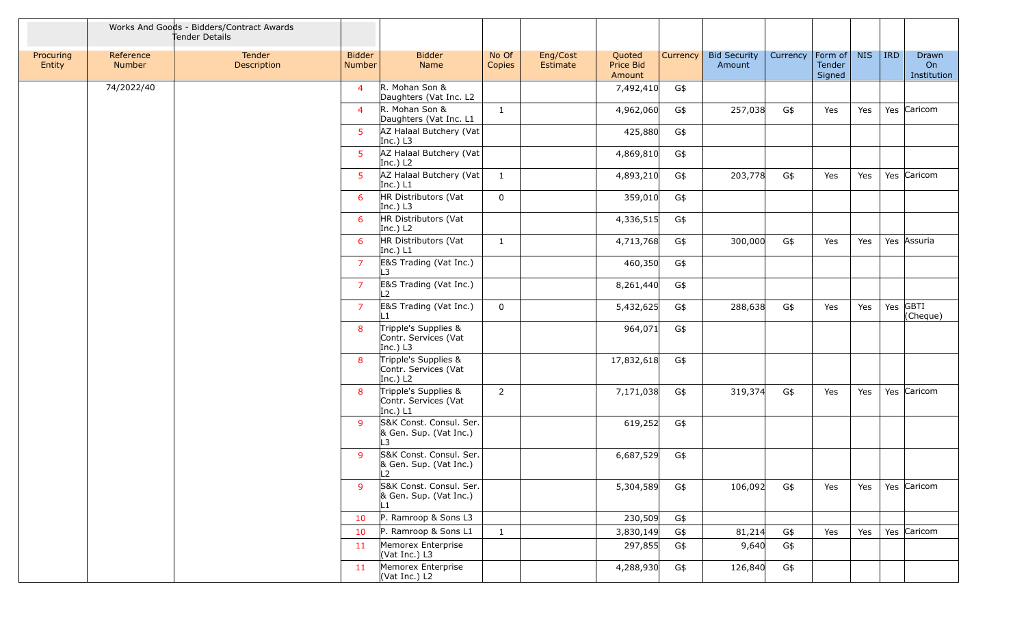|                     |                     | Works And Goods - Bidders/Contract Awards<br>Tender Details |                         |                                                            |                 |                      |                               |          |                               |          |                                     |            |            |                            |
|---------------------|---------------------|-------------------------------------------------------------|-------------------------|------------------------------------------------------------|-----------------|----------------------|-------------------------------|----------|-------------------------------|----------|-------------------------------------|------------|------------|----------------------------|
| Procuring<br>Entity | Reference<br>Number | Tender<br>Description                                       | <b>Bidder</b><br>Number | <b>Bidder</b><br>Name                                      | No Of<br>Copies | Eng/Cost<br>Estimate | Quoted<br>Price Bid<br>Amount | Currency | <b>Bid Security</b><br>Amount | Currency | Form of $\vert$<br>Tender<br>Signed | <b>NIS</b> | <b>IRD</b> | Drawn<br>On<br>Institution |
|                     | 74/2022/40          |                                                             | $\overline{4}$          | R. Mohan Son &<br>Daughters (Vat Inc. L2                   |                 |                      | 7,492,410                     | G\$      |                               |          |                                     |            |            |                            |
|                     |                     |                                                             | $\overline{4}$          | R. Mohan Son &<br>Daughters (Vat Inc. L1                   | $\mathbf{1}$    |                      | 4,962,060                     | G\$      | 257,038                       | G\$      | Yes                                 | Yes        |            | Yes Caricom                |
|                     |                     |                                                             | 5 <sup>5</sup>          | AZ Halaal Butchery (Vat<br>Inc.) $L3$                      |                 |                      | 425,880                       | G\$      |                               |          |                                     |            |            |                            |
|                     |                     |                                                             | 5 <sup>1</sup>          | AZ Halaal Butchery (Vat<br>Inc.) $L2$                      |                 |                      | 4,869,810                     | G\$      |                               |          |                                     |            |            |                            |
|                     |                     |                                                             | 5 <sup>1</sup>          | AZ Halaal Butchery (Vat<br>Inc.) $L1$                      | $\mathbf{1}$    |                      | 4,893,210                     | G\$      | 203,778                       | G\$      | Yes                                 | Yes        |            | Yes Caricom                |
|                     |                     |                                                             | 6                       | HR Distributors (Vat<br>Inc.) $L3$                         | $\mathbf 0$     |                      | 359,010                       | G\$      |                               |          |                                     |            |            |                            |
|                     |                     |                                                             | 6                       | HR Distributors (Vat<br>Inc.) $L2$                         |                 |                      | 4,336,515                     | G\$      |                               |          |                                     |            |            |                            |
|                     |                     |                                                             | 6                       | HR Distributors (Vat<br>Inc.) $L1$                         | 1               |                      | 4,713,768                     | G\$      | 300,000                       | G\$      | Yes                                 | Yes        |            | Yes Assuria                |
|                     |                     |                                                             | $\overline{7}$          | E&S Trading (Vat Inc.)<br>L3                               |                 |                      | 460,350                       | G\$      |                               |          |                                     |            |            |                            |
|                     |                     |                                                             | $\overline{7}$          | E&S Trading (Vat Inc.)<br>L2                               |                 |                      | 8,261,440                     | G\$      |                               |          |                                     |            |            |                            |
|                     |                     |                                                             | $\overline{7}$          | E&S Trading (Vat Inc.)<br>l 1                              | 0               |                      | 5,432,625                     | G\$      | 288,638                       | G\$      | Yes                                 | Yes        |            | Yes GBTI<br>(Cheque)       |
|                     |                     |                                                             | 8                       | Tripple's Supplies &<br>Contr. Services (Vat<br>Inc.) $L3$ |                 |                      | 964,071                       | G\$      |                               |          |                                     |            |            |                            |
|                     |                     |                                                             | 8                       | Tripple's Supplies &<br>Contr. Services (Vat<br>Inc.) $L2$ |                 |                      | 17,832,618                    | G\$      |                               |          |                                     |            |            |                            |
|                     |                     |                                                             | 8                       | Tripple's Supplies &<br>Contr. Services (Vat<br>Inc.) $L1$ | $\overline{2}$  |                      | 7,171,038                     | G\$      | 319,374                       | G\$      | Yes                                 | Yes        |            | Yes Caricom                |
|                     |                     |                                                             | 9                       | S&K Const. Consul. Ser.<br>& Gen. Sup. (Vat Inc.)<br>L3    |                 |                      | 619,252                       | G\$      |                               |          |                                     |            |            |                            |
|                     |                     |                                                             | $\mathbf{q}$            | S&K Const. Consul. Ser.<br>& Gen. Sup. (Vat Inc.)<br>L2    |                 |                      | 6,687,529                     | G\$      |                               |          |                                     |            |            |                            |
|                     |                     |                                                             | 9                       | S&K Const. Consul. Ser.<br>& Gen. Sup. (Vat Inc.)<br>L1    |                 |                      | 5,304,589                     | G\$      | 106,092                       | G\$      | Yes                                 | Yes        |            | Yes Caricom                |
|                     |                     |                                                             | 10                      | P. Ramroop & Sons L3                                       |                 |                      | 230,509                       | G\$      |                               |          |                                     |            |            |                            |
|                     |                     |                                                             | 10                      | P. Ramroop & Sons L1                                       | $\mathbf{1}$    |                      | 3,830,149                     | G\$      | 81,214                        | G\$      | Yes                                 | Yes        |            | Yes Caricom                |
|                     |                     |                                                             | 11                      | Memorex Enterprise<br>(Vat Inc.) L3                        |                 |                      | 297,855                       | G\$      | 9,640                         | G\$      |                                     |            |            |                            |
|                     |                     |                                                             | 11                      | Memorex Enterprise<br>(Vat Inc.) L2                        |                 |                      | 4,288,930                     | G\$      | 126,840                       | G\$      |                                     |            |            |                            |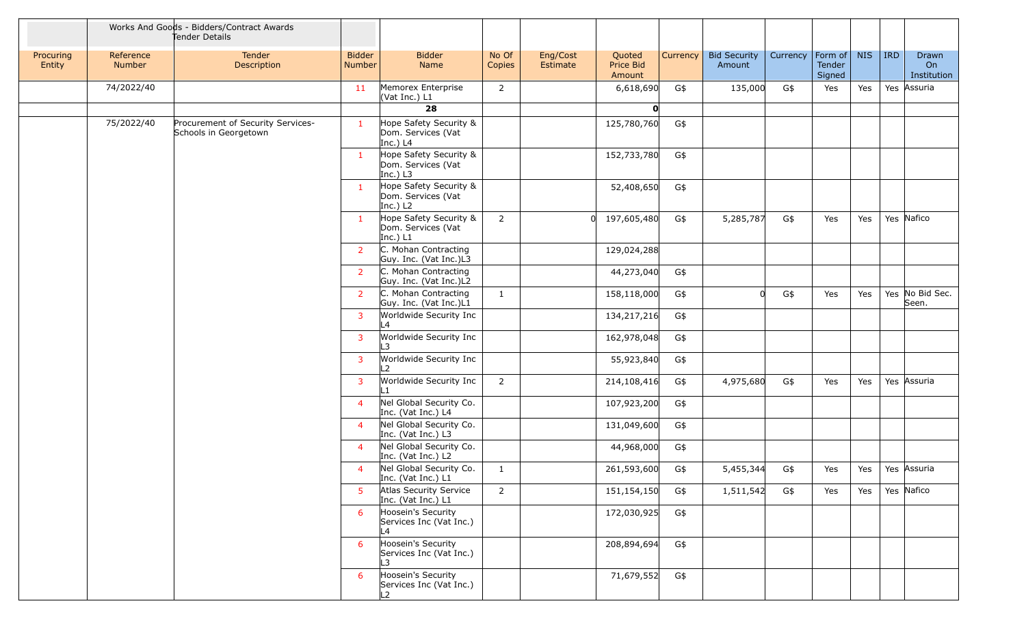|                     |                            | Works And Goods - Bidders/Contract Awards<br>Tender Details |                         |                                                            |                 |                      |                               |          |                               |                                                            |                                    |            |            |                            |  |  |  |  |  |
|---------------------|----------------------------|-------------------------------------------------------------|-------------------------|------------------------------------------------------------|-----------------|----------------------|-------------------------------|----------|-------------------------------|------------------------------------------------------------|------------------------------------|------------|------------|----------------------------|--|--|--|--|--|
| Procuring<br>Entity | Reference<br><b>Number</b> | Tender<br>Description                                       | <b>Bidder</b><br>Number | <b>Bidder</b><br>Name                                      | No Of<br>Copies | Eng/Cost<br>Estimate | Quoted<br>Price Bid<br>Amount | Currency | <b>Bid Security</b><br>Amount | Currency                                                   | Form of<br><b>Tender</b><br>Signed | <b>NIS</b> | <b>IRD</b> | Drawn<br>On<br>Institution |  |  |  |  |  |
|                     | 74/2022/40                 |                                                             | 11                      | Memorex Enterprise<br>(Vat Inc.) L1                        | $\overline{2}$  |                      | 6,618,690                     | G\$      | 135,000                       | G\$                                                        | Yes                                | Yes        | Yes        | Assuria                    |  |  |  |  |  |
|                     |                            |                                                             |                         | 28                                                         |                 |                      | O                             |          |                               |                                                            |                                    |            |            |                            |  |  |  |  |  |
|                     | 75/2022/40                 | Procurement of Security Services-<br>Schools in Georgetown  | -1                      | Hope Safety Security &<br>Dom. Services (Vat<br>Inc.) $L4$ |                 |                      | 125,780,760                   | G\$      |                               |                                                            |                                    |            |            |                            |  |  |  |  |  |
|                     |                            |                                                             | $\mathbf{1}$            | Hope Safety Security &<br>Dom. Services (Vat<br>Inc.) $L3$ |                 |                      | 152,733,780                   | G\$      |                               |                                                            |                                    |            |            |                            |  |  |  |  |  |
|                     |                            |                                                             |                         |                                                            |                 |                      |                               |          | $\mathbf{1}$                  | Hope Safety Security &<br>Dom. Services (Vat<br>Inc.) $L2$ |                                    |            | 52,408,650 | G\$                        |  |  |  |  |  |
|                     |                            |                                                             | -1                      | Hope Safety Security &<br>Dom. Services (Vat<br>Inc.) $L1$ | $\overline{2}$  |                      | 197,605,480<br>$\Omega$       | G\$      | 5,285,787                     | G\$                                                        | Yes                                | Yes        |            | Yes Nafico                 |  |  |  |  |  |
|                     |                            |                                                             | $\overline{2}$          | C. Mohan Contracting<br>Guy. Inc. (Vat Inc.)L3             |                 |                      | 129,024,288                   |          |                               |                                                            |                                    |            |            |                            |  |  |  |  |  |
|                     |                            |                                                             | $\overline{2}$          | C. Mohan Contracting<br>Guy. Inc. (Vat Inc.)L2             |                 |                      | 44,273,040                    | G\$      |                               |                                                            |                                    |            |            |                            |  |  |  |  |  |
|                     |                            |                                                             | $\overline{2}$          | C. Mohan Contracting<br>Guy. Inc. (Vat Inc.)L1             | $\mathbf{1}$    |                      | 158,118,000                   | G\$      |                               | G\$                                                        | Yes                                | Yes        |            | Yes No Bid Sec.<br>Seen.   |  |  |  |  |  |
|                     |                            |                                                             | $\mathbf{3}$            | Worldwide Security Inc<br>L4                               |                 |                      | 134,217,216                   | G\$      |                               |                                                            |                                    |            |            |                            |  |  |  |  |  |
|                     |                            |                                                             | 3                       | Worldwide Security Inc<br>L3                               |                 |                      | 162,978,048                   | G\$      |                               |                                                            |                                    |            |            |                            |  |  |  |  |  |
|                     |                            |                                                             | $\mathbf{3}$            | Worldwide Security Inc<br>L2                               |                 |                      | 55,923,840                    | G\$      |                               |                                                            |                                    |            |            |                            |  |  |  |  |  |
|                     |                            |                                                             | $\mathbf{3}$            | Worldwide Security Inc<br>L1                               | $2^{\circ}$     |                      | 214,108,416                   | G\$      | 4,975,680                     | G\$                                                        | Yes                                | Yes        |            | Yes Assuria                |  |  |  |  |  |
|                     |                            |                                                             | $\overline{4}$          | Nel Global Security Co.<br>Inc. (Vat Inc.) L4              |                 |                      | 107,923,200                   | G\$      |                               |                                                            |                                    |            |            |                            |  |  |  |  |  |
|                     |                            |                                                             | $\overline{4}$          | Nel Global Security Co.<br>Inc. (Vat Inc.) L3              |                 |                      | 131,049,600                   | G\$      |                               |                                                            |                                    |            |            |                            |  |  |  |  |  |
|                     |                            |                                                             | $\overline{4}$          | Nel Global Security Co.<br>Inc. (Vat Inc.) L2              |                 |                      | 44,968,000                    | G\$      |                               |                                                            |                                    |            |            |                            |  |  |  |  |  |
|                     |                            |                                                             | $\overline{4}$          | Nel Global Security Co.<br>Inc. (Vat Inc.) L1              | 1               |                      | 261,593,600                   | G\$      | 5,455,344                     | G\$                                                        | Yes                                | Yes        |            | Yes Assuria                |  |  |  |  |  |
|                     |                            |                                                             | 5 <sup>1</sup>          | Atlas Security Service<br>Inc. (Vat Inc.) L1               | $\overline{2}$  |                      | 151,154,150                   | G\$      | 1,511,542                     | G\$                                                        | Yes                                | Yes        |            | Yes Nafico                 |  |  |  |  |  |
|                     |                            |                                                             | 6                       | Hoosein's Security<br>Services Inc (Vat Inc.)<br>L4        |                 |                      | 172,030,925                   | G\$      |                               |                                                            |                                    |            |            |                            |  |  |  |  |  |
|                     |                            |                                                             | 6                       | Hoosein's Security<br>Services Inc (Vat Inc.)<br>L3        |                 |                      | 208,894,694                   | G\$      |                               |                                                            |                                    |            |            |                            |  |  |  |  |  |
|                     |                            |                                                             | 6                       | Hoosein's Security<br>Services Inc (Vat Inc.)<br>L2        |                 |                      | 71,679,552                    | G\$      |                               |                                                            |                                    |            |            |                            |  |  |  |  |  |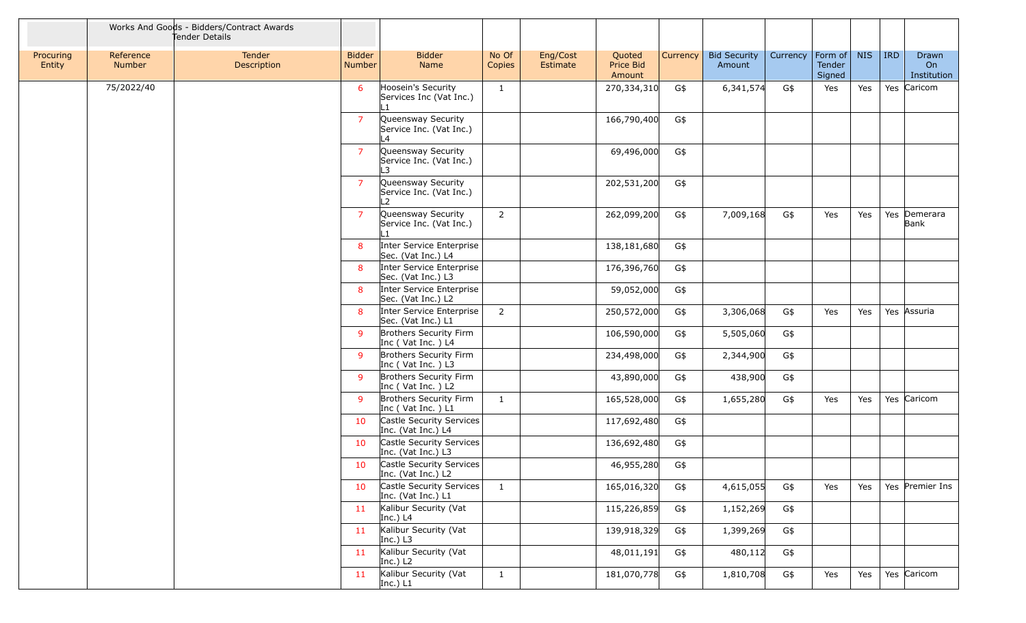|                     | Works And Goods - Bidders/Contract Awards<br>Tender Details |                       |                         |                                                                 |                 |                      |                               |          |                               |          |                             |            |         |                            |
|---------------------|-------------------------------------------------------------|-----------------------|-------------------------|-----------------------------------------------------------------|-----------------|----------------------|-------------------------------|----------|-------------------------------|----------|-----------------------------|------------|---------|----------------------------|
| Procuring<br>Entity | Reference<br>Number                                         | Tender<br>Description | <b>Bidder</b><br>Number | <b>Bidder</b><br>Name                                           | No Of<br>Copies | Eng/Cost<br>Estimate | Quoted<br>Price Bid<br>Amount | Currency | <b>Bid Security</b><br>Amount | Currency | Form of<br>Tender<br>Signed | <b>NIS</b> | $ $ IRD | Drawn<br>On<br>Institution |
|                     | 75/2022/40                                                  |                       | 6                       | Hoosein's Security<br>Services Inc (Vat Inc.)                   | $\mathbf{1}$    |                      | 270,334,310                   | G\$      | 6,341,574                     | G\$      | Yes                         | Yes        |         | Yes Caricom                |
|                     |                                                             |                       | $\overline{7}$          | Queensway Security<br>Service Inc. (Vat Inc.)<br>L4             |                 |                      | 166,790,400                   | G\$      |                               |          |                             |            |         |                            |
|                     |                                                             |                       | $\overline{7}$          | Queensway Security<br>Service Inc. (Vat Inc.)<br>l 3            |                 |                      | 69,496,000                    | G\$      |                               |          |                             |            |         |                            |
|                     |                                                             |                       | $\overline{7}$          | Queensway Security<br>Service Inc. (Vat Inc.)<br>L <sub>2</sub> |                 |                      | 202,531,200                   | G\$      |                               |          |                             |            |         |                            |
|                     |                                                             |                       | $\overline{7}$          | Queensway Security<br>Service Inc. (Vat Inc.)                   | $\overline{2}$  |                      | 262,099,200                   | G\$      | 7,009,168                     | G\$      | Yes                         | Yes        |         | Yes Demerara<br>Bank       |
|                     |                                                             |                       | 8                       | Inter Service Enterprise<br>Sec. (Vat Inc.) L4                  |                 |                      | 138,181,680                   | G\$      |                               |          |                             |            |         |                            |
|                     |                                                             |                       | 8                       | Inter Service Enterprise<br>Sec. (Vat Inc.) L3                  |                 |                      | 176,396,760                   | G\$      |                               |          |                             |            |         |                            |
|                     |                                                             |                       | 8                       | Inter Service Enterprise<br>Sec. (Vat Inc.) L2                  |                 |                      | 59,052,000                    | G\$      |                               |          |                             |            |         |                            |
|                     |                                                             |                       | 8                       | Inter Service Enterprise<br>Sec. (Vat Inc.) L1                  | $\overline{2}$  |                      | 250,572,000                   | G\$      | 3,306,068                     | G\$      | Yes                         | Yes        |         | Yes Assuria                |
|                     |                                                             |                       | 9                       | Brothers Security Firm<br>Inc (Vat Inc.) L4                     |                 |                      | 106,590,000                   | G\$      | 5,505,060                     | G\$      |                             |            |         |                            |
|                     |                                                             |                       | 9                       | Brothers Security Firm<br>Inc (Vat Inc.) L3                     |                 |                      | 234,498,000                   | G\$      | 2,344,900                     | G\$      |                             |            |         |                            |
|                     |                                                             |                       | 9                       | Brothers Security Firm<br>Inc (Vat Inc.) L2                     |                 |                      | 43,890,000                    | G\$      | 438,900                       | G\$      |                             |            |         |                            |
|                     |                                                             |                       | 9                       | Brothers Security Firm<br>Inc (Vat Inc.) L1                     | $\mathbf{1}$    |                      | 165,528,000                   | G\$      | 1,655,280                     | G\$      | Yes                         | Yes        |         | Yes Caricom                |
|                     |                                                             |                       | 10                      | Castle Security Services<br>Inc. (Vat Inc.) L4                  |                 |                      | 117,692,480                   | G\$      |                               |          |                             |            |         |                            |
|                     |                                                             |                       | 10                      | Castle Security Services<br>Inc. (Vat Inc.) L3                  |                 |                      | 136,692,480                   | G\$      |                               |          |                             |            |         |                            |
|                     |                                                             |                       | 10                      | Castle Security Services<br>Inc. (Vat Inc.) L2                  |                 |                      | 46,955,280                    | G\$      |                               |          |                             |            |         |                            |
|                     |                                                             |                       | 10                      | Castle Security Services<br>Inc. (Vat Inc.) L1                  | $\mathbf{1}$    |                      | 165,016,320                   | G\$      | 4,615,055                     | G\$      | Yes                         | Yes        |         | Yes Premier Ins            |
|                     |                                                             |                       | 11                      | Kalibur Security (Vat<br>Inc.) $L4$                             |                 |                      | 115,226,859                   | G\$      | 1,152,269                     | G\$      |                             |            |         |                            |
|                     |                                                             |                       | 11                      | Kalibur Security (Vat<br>Inc.) $L3$                             |                 |                      | 139,918,329                   | G\$      | 1,399,269                     | G\$      |                             |            |         |                            |
|                     |                                                             |                       | 11                      | Kalibur Security (Vat<br>Inc.) $L2$                             |                 |                      | 48,011,191                    | G\$      | 480,112                       | G\$      |                             |            |         |                            |
|                     |                                                             |                       | 11                      | Kalibur Security (Vat<br>Inc.) $L1$                             | $\mathbf{1}$    |                      | 181,070,778                   | G\$      | 1,810,708                     | G\$      | Yes                         | Yes        |         | Yes Caricom                |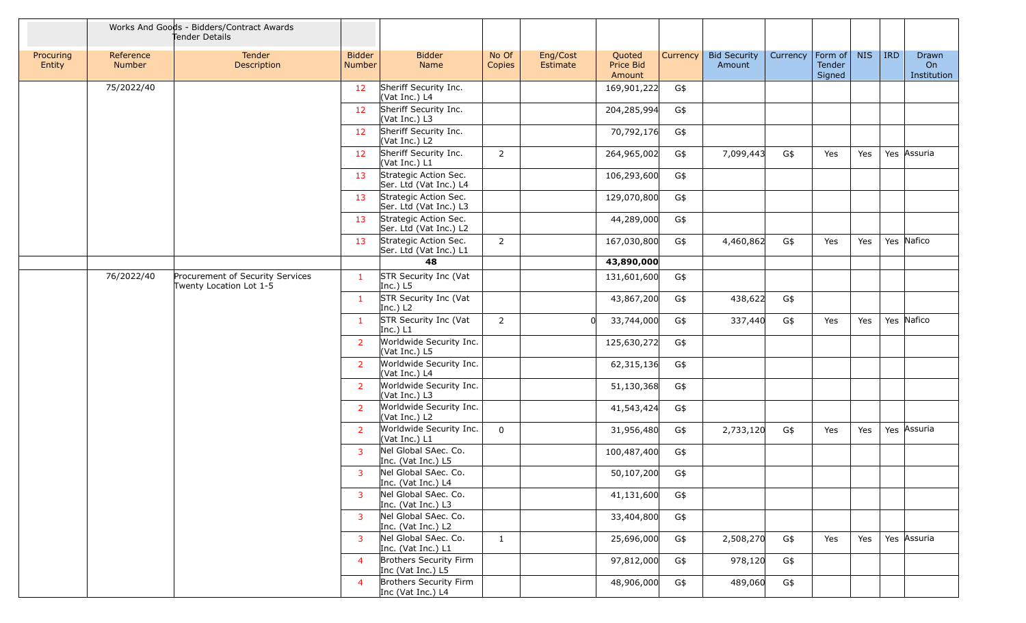|                     |                                                                           | Works And Goods - Bidders/Contract Awards<br>Tender Details |                         |                                                 |                 |                      |                               |          |                               |          |                                     |            |            |                            |
|---------------------|---------------------------------------------------------------------------|-------------------------------------------------------------|-------------------------|-------------------------------------------------|-----------------|----------------------|-------------------------------|----------|-------------------------------|----------|-------------------------------------|------------|------------|----------------------------|
| Procuring<br>Entity | Reference<br><b>Number</b>                                                | Tender<br>Description                                       | <b>Bidder</b><br>Number | <b>Bidder</b><br>Name                           | No Of<br>Copies | Eng/Cost<br>Estimate | Quoted<br>Price Bid<br>Amount | Currency | <b>Bid Security</b><br>Amount | Currency | $ $ Form of $ $<br>Tender<br>Signed | <b>NIS</b> | <b>IRD</b> | Drawn<br>On<br>Institution |
|                     | 75/2022/40                                                                |                                                             | 12                      | Sheriff Security Inc.<br>(Vat Inc.) L4          |                 |                      | 169,901,222                   | G\$      |                               |          |                                     |            |            |                            |
|                     |                                                                           |                                                             | 12                      | Sheriff Security Inc.<br>(Vat Inc.) L3          |                 |                      | 204,285,994                   | G\$      |                               |          |                                     |            |            |                            |
|                     |                                                                           |                                                             | 12                      | Sheriff Security Inc.<br>(Vat Inc.) L2          |                 |                      | 70,792,176                    | G\$      |                               |          |                                     |            |            |                            |
|                     |                                                                           |                                                             | 12                      | Sheriff Security Inc.<br>(Vat Inc.) L1          | $\overline{2}$  |                      | 264,965,002                   | G\$      | 7,099,443                     | G\$      | Yes                                 | Yes        |            | Yes Assuria                |
|                     |                                                                           |                                                             | 13                      | Strategic Action Sec.<br>Ser. Ltd (Vat Inc.) L4 |                 |                      | 106,293,600                   | G\$      |                               |          |                                     |            |            |                            |
|                     |                                                                           |                                                             | 13                      | Strategic Action Sec.<br>Ser. Ltd (Vat Inc.) L3 |                 |                      | 129,070,800                   | G\$      |                               |          |                                     |            |            |                            |
|                     |                                                                           |                                                             | 13                      | Strategic Action Sec.<br>Ser. Ltd (Vat Inc.) L2 |                 |                      | 44,289,000                    | G\$      |                               |          |                                     |            |            |                            |
|                     |                                                                           |                                                             | 13                      | Strategic Action Sec.<br>Ser. Ltd (Vat Inc.) L1 | $\overline{2}$  |                      | 167,030,800                   | G\$      | 4,460,862                     | G\$      | Yes                                 | Yes        |            | Yes Nafico                 |
|                     |                                                                           |                                                             |                         | 48                                              |                 |                      | 43,890,000                    |          |                               |          |                                     |            |            |                            |
|                     | Procurement of Security Services<br>76/2022/40<br>Twenty Location Lot 1-5 |                                                             | -1                      | STR Security Inc (Vat<br>Inc.) $L5$             |                 |                      | 131,601,600                   | G\$      |                               |          |                                     |            |            |                            |
|                     |                                                                           |                                                             | $\mathbf{1}$            | STR Security Inc (Vat<br>Inc.) $L2$             |                 |                      | 43,867,200                    | G\$      | 438,622                       | G\$      |                                     |            |            |                            |
|                     |                                                                           |                                                             | $\mathbf{1}$            | STR Security Inc (Vat<br>Inc.) $L1$             | $2^{\circ}$     |                      | 33,744,000                    | G\$      | 337,440                       | G\$      | Yes                                 | Yes        |            | Yes Nafico                 |
|                     |                                                                           |                                                             | $\overline{2}$          | Worldwide Security Inc.<br>(Vat Inc.) L5        |                 |                      | 125,630,272                   | G\$      |                               |          |                                     |            |            |                            |
|                     |                                                                           |                                                             | $\overline{2}$          | Worldwide Security Inc.<br>(Vat Inc.) L4        |                 |                      | 62,315,136                    | G\$      |                               |          |                                     |            |            |                            |
|                     |                                                                           |                                                             | $\overline{2}$          | Worldwide Security Inc.<br>(Vat Inc.) L3        |                 |                      | 51,130,368                    | G\$      |                               |          |                                     |            |            |                            |
|                     |                                                                           |                                                             | $\overline{2}$          | Worldwide Security Inc.<br>(Vat Inc.) L2        |                 |                      | 41,543,424                    | G\$      |                               |          |                                     |            |            |                            |
|                     |                                                                           |                                                             | <sup>2</sup>            | Worldwide Security Inc.<br>(Vat Inc.) L1        | $\mathbf{0}$    |                      | 31,956,480                    | G\$      | 2,733,120                     | G\$      | Yes                                 | Yes        |            | Yes Assuria                |
|                     |                                                                           |                                                             | 3                       | Nel Global SAec. Co.<br>Inc. (Vat Inc.) L5      |                 |                      | 100,487,400                   | G\$      |                               |          |                                     |            |            |                            |
|                     |                                                                           |                                                             | $\overline{3}$          | Nel Global SAec. Co.<br>Inc. (Vat Inc.) L4      |                 |                      | 50,107,200                    | G\$      |                               |          |                                     |            |            |                            |
|                     |                                                                           |                                                             | $\overline{3}$          | Nel Global SAec. Co.<br>Inc. (Vat Inc.) L3      |                 |                      | 41,131,600                    | G\$      |                               |          |                                     |            |            |                            |
|                     |                                                                           |                                                             | 3                       | Nel Global SAec. Co.<br>Inc. (Vat Inc.) L2      |                 |                      | 33,404,800                    | G\$      |                               |          |                                     |            |            |                            |
|                     |                                                                           |                                                             | 3                       | Nel Global SAec. Co.<br>Inc. (Vat Inc.) L1      | $\mathbf{1}$    |                      | 25,696,000                    | G\$      | 2,508,270                     | G\$      | Yes                                 | Yes        |            | Yes Assuria                |
|                     |                                                                           |                                                             | $\overline{4}$          | Brothers Security Firm<br>Inc (Vat Inc.) L5     |                 |                      | 97,812,000                    | G\$      | 978,120                       | G\$      |                                     |            |            |                            |
|                     |                                                                           |                                                             | $\overline{4}$          | Brothers Security Firm<br>Inc (Vat Inc.) L4     |                 |                      | 48,906,000                    | G\$      | 489,060                       | G\$      |                                     |            |            |                            |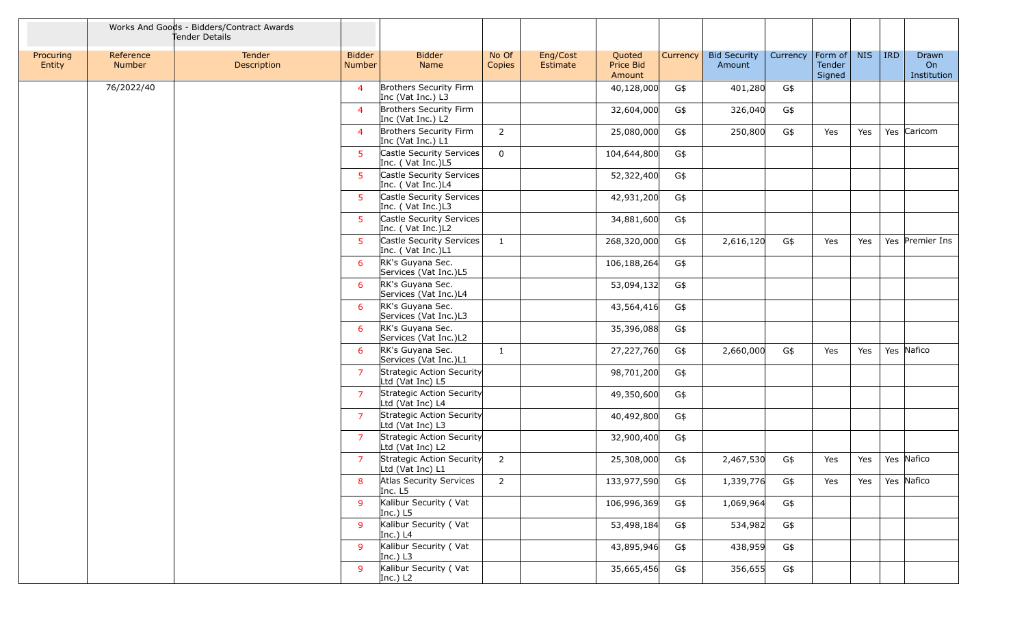|                     |                     | Works And Goods - Bidders/Contract Awards<br>Tender Details |                                |                                               |                 |                      |                               |          |                               |          |                             |            |         |                            |
|---------------------|---------------------|-------------------------------------------------------------|--------------------------------|-----------------------------------------------|-----------------|----------------------|-------------------------------|----------|-------------------------------|----------|-----------------------------|------------|---------|----------------------------|
| Procuring<br>Entity | Reference<br>Number | <b>Tender</b><br>Description                                | <b>Bidder</b><br><b>Number</b> | <b>Bidder</b><br>Name                         | No Of<br>Copies | Eng/Cost<br>Estimate | Quoted<br>Price Bid<br>Amount | Currency | <b>Bid Security</b><br>Amount | Currency | Form of<br>Tender<br>Signed | <b>NIS</b> | $ $ IRD | Drawn<br>On<br>Institution |
|                     | 76/2022/40          |                                                             | $\overline{4}$                 | Brothers Security Firm<br>Inc (Vat Inc.) L3   |                 |                      | 40,128,000                    | G\$      | 401,280                       | G\$      |                             |            |         |                            |
|                     |                     |                                                             | $\overline{a}$                 | Brothers Security Firm<br>Inc (Vat Inc.) L2   |                 |                      | 32,604,000                    | G\$      | 326,040                       | G\$      |                             |            |         |                            |
|                     |                     |                                                             | $\overline{4}$                 | Brothers Security Firm<br>Inc (Vat Inc.) L1   | $2^{\circ}$     |                      | 25,080,000                    | G\$      | 250,800                       | G\$      | Yes                         | Yes        |         | Yes Caricom                |
|                     |                     |                                                             | 5 <sup>1</sup>                 | Castle Security Services<br>Inc. (Vat Inc.)L5 | $\mathbf 0$     |                      | 104,644,800                   | G\$      |                               |          |                             |            |         |                            |
|                     |                     |                                                             | 5                              | Castle Security Services<br>Inc. (Vat Inc.)L4 |                 |                      | 52,322,400                    | G\$      |                               |          |                             |            |         |                            |
|                     |                     |                                                             | 5 <sup>1</sup>                 | Castle Security Services<br>Inc. (Vat Inc.)L3 |                 |                      | 42,931,200                    | G\$      |                               |          |                             |            |         |                            |
|                     |                     |                                                             | 5 <sup>1</sup>                 | Castle Security Services<br>Inc. (Vat Inc.)L2 |                 |                      | 34,881,600                    | G\$      |                               |          |                             |            |         |                            |
|                     |                     |                                                             | 5 <sup>1</sup>                 | Castle Security Services<br>Inc. (Vat Inc.)L1 | $\mathbf{1}$    |                      | 268,320,000                   | G\$      | 2,616,120                     | G\$      | Yes                         | Yes        |         | Yes Premier Ins            |
|                     |                     |                                                             | 6                              | RK's Guyana Sec.<br>Services (Vat Inc.)L5     |                 |                      | 106,188,264                   | G\$      |                               |          |                             |            |         |                            |
|                     |                     |                                                             | 6                              | RK's Guyana Sec.<br>Services (Vat Inc.)L4     |                 |                      | 53,094,132                    | G\$      |                               |          |                             |            |         |                            |
|                     |                     |                                                             | 6                              | RK's Guyana Sec.<br>Services (Vat Inc.)L3     |                 |                      | 43,564,416                    | G\$      |                               |          |                             |            |         |                            |
|                     |                     |                                                             | 6                              | RK's Guyana Sec.<br>Services (Vat Inc.)L2     |                 |                      | 35,396,088                    | G\$      |                               |          |                             |            |         |                            |
|                     |                     |                                                             | 6                              | RK's Guyana Sec.<br>Services (Vat Inc.)L1     | $\mathbf{1}$    |                      | 27,227,760                    | G\$      | 2,660,000                     | G\$      | Yes                         | Yes        |         | Yes Nafico                 |
|                     |                     |                                                             | $\overline{7}$                 | Strategic Action Security<br>Ltd (Vat Inc) L5 |                 |                      | 98,701,200                    | G\$      |                               |          |                             |            |         |                            |
|                     |                     |                                                             | $\overline{7}$                 | Strategic Action Security<br>Ltd (Vat Inc) L4 |                 |                      | 49,350,600                    | G\$      |                               |          |                             |            |         |                            |
|                     |                     |                                                             | $\overline{7}$                 | Strategic Action Security<br>Ltd (Vat Inc) L3 |                 |                      | 40,492,800                    | G\$      |                               |          |                             |            |         |                            |
|                     |                     |                                                             | $\overline{7}$                 | Strategic Action Security<br>Ltd (Vat Inc) L2 |                 |                      | 32,900,400                    | G\$      |                               |          |                             |            |         |                            |
|                     |                     |                                                             | 7                              | Strategic Action Security<br>Ltd (Vat Inc) L1 | $\overline{2}$  |                      | 25,308,000                    | G\$      | 2,467,530                     | G\$      | Yes                         | Yes        |         | Yes Nafico                 |
|                     |                     |                                                             | 8                              | Atlas Security Services<br>Inc. L5            | $\overline{2}$  |                      | 133,977,590                   | G\$      | 1,339,776                     | G\$      | Yes                         | Yes        |         | Yes Nafico                 |
|                     |                     |                                                             | 9                              | Kalibur Security (Vat<br>Inc.) $L5$           |                 |                      | 106,996,369                   | G\$      | 1,069,964                     | G\$      |                             |            |         |                            |
|                     |                     |                                                             | 9                              | Kalibur Security (Vat<br>Inc.) $L4$           |                 |                      | 53,498,184                    | G\$      | 534,982                       | G\$      |                             |            |         |                            |
|                     |                     |                                                             | 9                              | Kalibur Security (Vat<br>Inc.) $L3$           |                 |                      | 43,895,946                    | G\$      | 438,959                       | G\$      |                             |            |         |                            |
|                     |                     |                                                             | 9                              | Kalibur Security (Vat<br>Inc.) $L2$           |                 |                      | 35,665,456                    | G\$      | 356,655                       | G\$      |                             |            |         |                            |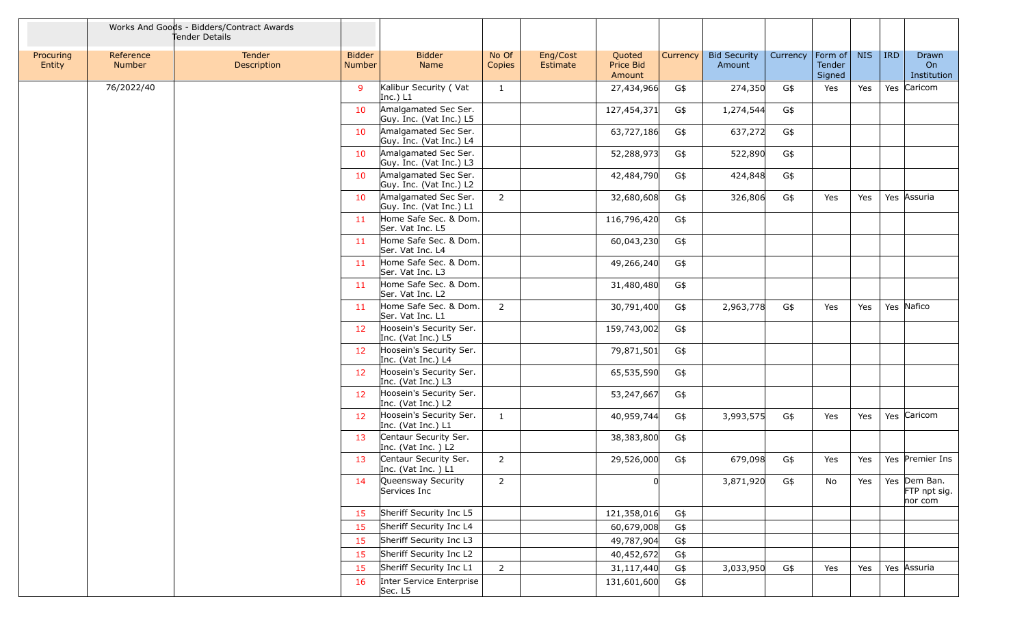|                     | Works And Goods - Bidders/Contract Awards<br>Tender Details |                       |                                |                                                 |                 |                      |                               |          |                               |          |                             |            |            |                                         |
|---------------------|-------------------------------------------------------------|-----------------------|--------------------------------|-------------------------------------------------|-----------------|----------------------|-------------------------------|----------|-------------------------------|----------|-----------------------------|------------|------------|-----------------------------------------|
| Procuring<br>Entity | Reference<br>Number                                         | Tender<br>Description | <b>Bidder</b><br><b>Number</b> | <b>Bidder</b><br>Name                           | No Of<br>Copies | Eng/Cost<br>Estimate | Quoted<br>Price Bid<br>Amount | Currency | <b>Bid Security</b><br>Amount | Currency | Form of<br>Tender<br>Signed | <b>NIS</b> | <b>IRD</b> | Drawn<br>On<br>Institution              |
|                     | 76/2022/40                                                  |                       | 9                              | Kalibur Security (Vat<br>Inc.) $L1$             | $\mathbf{1}$    |                      | 27,434,966                    | G\$      | 274,350                       | G\$      | Yes                         | Yes        |            | Yes Caricom                             |
|                     |                                                             |                       | 10                             | Amalgamated Sec Ser.<br>Guy. Inc. (Vat Inc.) L5 |                 |                      | 127,454,371                   | G\$      | 1,274,544                     | G\$      |                             |            |            |                                         |
|                     |                                                             |                       | 10                             | Amalgamated Sec Ser.<br>Guy. Inc. (Vat Inc.) L4 |                 |                      | 63,727,186                    | G\$      | 637,272                       | G\$      |                             |            |            |                                         |
|                     |                                                             |                       | 10                             | Amalgamated Sec Ser.<br>Guy. Inc. (Vat Inc.) L3 |                 |                      | 52,288,973                    | G\$      | 522,890                       | G\$      |                             |            |            |                                         |
|                     |                                                             |                       | 10                             | Amalgamated Sec Ser.<br>Guy. Inc. (Vat Inc.) L2 |                 |                      | 42,484,790                    | G\$      | 424,848                       | G\$      |                             |            |            |                                         |
|                     |                                                             |                       | 10                             | Amalgamated Sec Ser.<br>Guy. Inc. (Vat Inc.) L1 | $\overline{2}$  |                      | 32,680,608                    | G\$      | 326,806                       | G\$      | Yes                         | Yes        |            | Yes Assuria                             |
|                     |                                                             |                       | 11                             | Home Safe Sec. & Dom.<br>Ser. Vat Inc. L5       |                 |                      | 116,796,420                   | G\$      |                               |          |                             |            |            |                                         |
|                     |                                                             |                       | 11                             | Home Safe Sec. & Dom.<br>Ser. Vat Inc. L4       |                 |                      | 60,043,230                    | G\$      |                               |          |                             |            |            |                                         |
|                     |                                                             |                       | -11                            | Home Safe Sec. & Dom.<br>Ser. Vat Inc. L3       |                 |                      | 49,266,240                    | G\$      |                               |          |                             |            |            |                                         |
|                     |                                                             |                       | 11                             | Home Safe Sec. & Dom.<br>Ser. Vat Inc. L2       |                 |                      | 31,480,480                    | G\$      |                               |          |                             |            |            |                                         |
|                     |                                                             |                       | 11                             | Home Safe Sec. & Dom.<br>Ser. Vat Inc. L1       | $\overline{2}$  |                      | 30,791,400                    | G\$      | 2,963,778                     | G\$      | Yes                         | Yes        |            | Yes Nafico                              |
|                     |                                                             |                       | 12 <sup>2</sup>                | Hoosein's Security Ser.<br>Inc. (Vat Inc.) L5   |                 |                      | 159,743,002                   | G\$      |                               |          |                             |            |            |                                         |
|                     |                                                             |                       | 12                             | Hoosein's Security Ser.<br>Inc. (Vat Inc.) L4   |                 |                      | 79,871,501                    | G\$      |                               |          |                             |            |            |                                         |
|                     |                                                             |                       | 12                             | Hoosein's Security Ser.<br>Inc. (Vat Inc.) L3   |                 |                      | 65,535,590                    | G\$      |                               |          |                             |            |            |                                         |
|                     |                                                             |                       | 12 <sup>2</sup>                | Hoosein's Security Ser.<br>Inc. (Vat Inc.) L2   |                 |                      | 53,247,667                    | G\$      |                               |          |                             |            |            |                                         |
|                     |                                                             |                       | 12                             | Hoosein's Security Ser.<br>Inc. (Vat Inc.) L1   | $\mathbf{1}$    |                      | 40,959,744                    | G\$      | 3,993,575                     | G\$      | Yes                         | Yes        |            | Yes Caricom                             |
|                     |                                                             |                       | 13                             | Centaur Security Ser.<br>Inc. (Vat Inc. ) L2    |                 |                      | 38,383,800                    | G\$      |                               |          |                             |            |            |                                         |
|                     |                                                             |                       | 13                             | Centaur Security Ser.<br>Inc. (Vat Inc. ) L1    | $\overline{2}$  |                      | 29,526,000                    | G\$      | 679,098                       | G\$      | Yes                         | Yes        |            | Yes Premier Ins                         |
|                     |                                                             |                       | 14                             | Queensway Security<br>Services Inc              | $\overline{2}$  |                      | <sub>0</sub>                  |          | 3,871,920                     | G\$      | No                          | Yes        |            | Yes Dem Ban.<br>FTP npt sig.<br>nor com |
|                     |                                                             |                       | 15                             | Sheriff Security Inc L5                         |                 |                      | 121,358,016                   | G\$      |                               |          |                             |            |            |                                         |
|                     |                                                             |                       | 15                             | Sheriff Security Inc L4                         |                 |                      | 60,679,008                    | G\$      |                               |          |                             |            |            |                                         |
|                     |                                                             |                       | 15                             | Sheriff Security Inc L3                         |                 |                      | 49,787,904                    | G\$      |                               |          |                             |            |            |                                         |
|                     |                                                             |                       | 15                             | Sheriff Security Inc L2                         |                 |                      | 40,452,672                    | G\$      |                               |          |                             |            |            |                                         |
|                     |                                                             |                       | 15                             | Sheriff Security Inc L1                         | $\overline{2}$  |                      | 31,117,440                    | G\$      | 3,033,950                     | G\$      | Yes                         | Yes        |            | Yes Assuria                             |
|                     |                                                             |                       | 16                             | Inter Service Enterprise<br>Sec. L5             |                 |                      | 131,601,600                   | G\$      |                               |          |                             |            |            |                                         |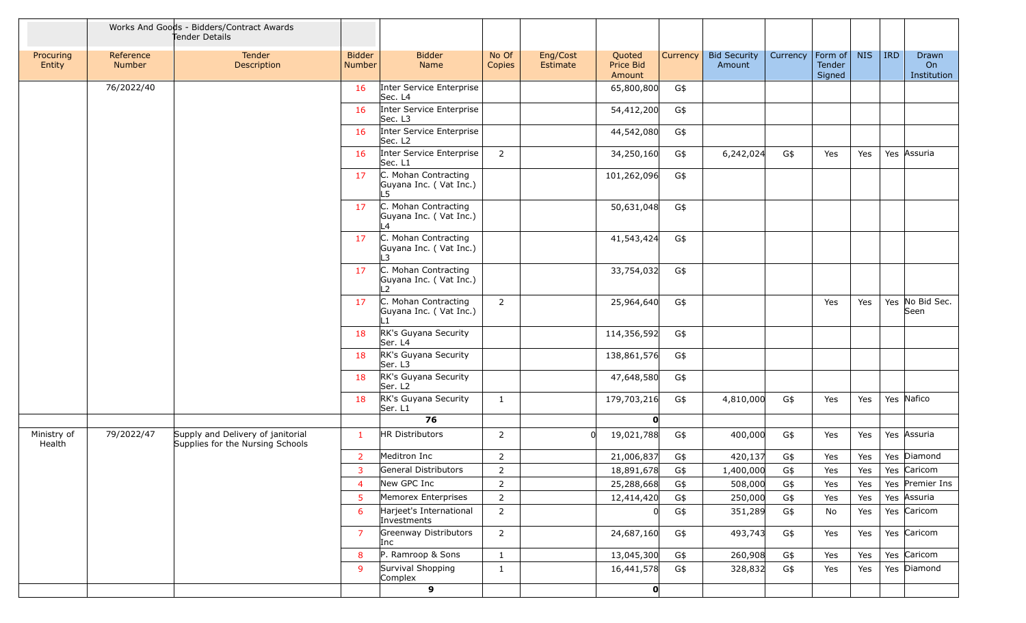|                       | Works And Goods - Bidders/Contract Awards<br>Tender Details |                                                                       |                         |                                                       |                 |                      |                               |          |                               |          |                                     |            |            |                            |
|-----------------------|-------------------------------------------------------------|-----------------------------------------------------------------------|-------------------------|-------------------------------------------------------|-----------------|----------------------|-------------------------------|----------|-------------------------------|----------|-------------------------------------|------------|------------|----------------------------|
| Procuring<br>Entity   | Reference<br><b>Number</b>                                  | Tender<br>Description                                                 | <b>Bidder</b><br>Number | <b>Bidder</b><br>Name                                 | No Of<br>Copies | Eng/Cost<br>Estimate | Quoted<br>Price Bid<br>Amount | Currency | <b>Bid Security</b><br>Amount | Currency | $ $ Form of $ $<br>Tender<br>Signed | <b>NIS</b> | <b>IRD</b> | Drawn<br>On<br>Institution |
|                       | 76/2022/40                                                  |                                                                       | 16                      | Inter Service Enterprise<br>Sec. L4                   |                 |                      | 65,800,800                    | G\$      |                               |          |                                     |            |            |                            |
|                       |                                                             |                                                                       | 16                      | Inter Service Enterprise<br>Sec. L3                   |                 |                      | 54,412,200                    | G\$      |                               |          |                                     |            |            |                            |
|                       |                                                             |                                                                       | 16                      | Inter Service Enterprise<br>Sec. L <sub>2</sub>       |                 |                      | 44,542,080                    | G\$      |                               |          |                                     |            |            |                            |
|                       |                                                             |                                                                       | 16                      | Inter Service Enterprise<br>Sec. L1                   | 2               |                      | 34,250,160                    | G\$      | 6,242,024                     | G\$      | Yes                                 | Yes        |            | Yes Assuria                |
|                       |                                                             |                                                                       | 17                      | C. Mohan Contracting<br>Guyana Inc. (Vat Inc.)<br>L5  |                 |                      | 101,262,096                   | G\$      |                               |          |                                     |            |            |                            |
|                       |                                                             |                                                                       | 17                      | C. Mohan Contracting<br>Guyana Inc. (Vat Inc.)<br>L4  |                 |                      | 50,631,048                    | G\$      |                               |          |                                     |            |            |                            |
|                       |                                                             |                                                                       | 17                      | C. Mohan Contracting<br>Guyana Inc. (Vat Inc.)<br>l 3 |                 |                      | 41,543,424                    | G\$      |                               |          |                                     |            |            |                            |
|                       |                                                             |                                                                       | 17                      | C. Mohan Contracting<br>Guyana Inc. (Vat Inc.)<br>12  |                 |                      | 33,754,032                    | G\$      |                               |          |                                     |            |            |                            |
|                       |                                                             |                                                                       | 17                      | C. Mohan Contracting<br>Guyana Inc. (Vat Inc.)        | $\overline{2}$  |                      | 25,964,640                    | G\$      |                               |          | Yes                                 | Yes        |            | Yes No Bid Sec.<br>Seen    |
|                       |                                                             |                                                                       | 18                      | RK's Guyana Security<br>Ser. L4                       |                 |                      | 114,356,592                   | G\$      |                               |          |                                     |            |            |                            |
|                       |                                                             |                                                                       | 18                      | RK's Guyana Security<br>Ser. L3                       |                 |                      | 138,861,576                   | G\$      |                               |          |                                     |            |            |                            |
|                       |                                                             |                                                                       | 18                      | RK's Guyana Security<br>Ser. L2                       |                 |                      | 47,648,580                    | G\$      |                               |          |                                     |            |            |                            |
|                       |                                                             |                                                                       | 18                      | RK's Guyana Security<br>Ser. L1                       | 1               |                      | 179,703,216                   | G\$      | 4,810,000                     | G\$      | Yes                                 | Yes        |            | Yes Nafico                 |
|                       |                                                             |                                                                       |                         | 76                                                    |                 |                      | $\mathbf{O}$                  |          |                               |          |                                     |            |            |                            |
| Ministry of<br>Health | 79/2022/47                                                  | Supply and Delivery of janitorial<br>Supplies for the Nursing Schools | $\mathbf{1}$            | HR Distributors                                       | $\overline{2}$  |                      | 19,021,788                    | G\$      | 400,000                       | G\$      | Yes                                 | Yes        |            | Yes Assuria                |
|                       |                                                             |                                                                       | 2                       | Meditron Inc                                          | $\overline{2}$  |                      | 21,006,837                    | G\$      | 420,137                       | G\$      | Yes                                 | Yes        |            | Yes Diamond                |
|                       |                                                             |                                                                       | 3                       | General Distributors                                  | $\overline{2}$  |                      | 18,891,678                    | G\$      | 1,400,000                     | G\$      | Yes                                 | Yes        |            | Yes Caricom                |
|                       |                                                             |                                                                       | $\overline{4}$          | New GPC Inc                                           | $\overline{2}$  |                      | 25,288,668                    | G\$      | 508,000                       | G\$      | Yes                                 | Yes        |            | Yes Premier Ins            |
|                       |                                                             |                                                                       | 5 <sup>1</sup>          | Memorex Enterprises                                   | $\overline{2}$  |                      | 12,414,420                    | G\$      | 250,000                       | G\$      | Yes                                 | Yes        |            | Yes Assuria                |
|                       |                                                             |                                                                       | 6                       | Harjeet's International<br>Investments                | $\overline{2}$  |                      |                               | G\$      | 351,289                       | G\$      | No                                  | Yes        |            | Yes Caricom                |
|                       |                                                             |                                                                       | 7                       | Greenway Distributors<br>Inc                          | $\overline{2}$  |                      | 24,687,160                    | G\$      | 493,743                       | G\$      | Yes                                 | Yes        |            | Yes Caricom                |
|                       |                                                             |                                                                       | 8                       | P. Ramroop & Sons                                     | $\mathbf{1}$    |                      | 13,045,300                    | G\$      | 260,908                       | G\$      | Yes                                 | Yes        |            | Yes Caricom                |
|                       |                                                             |                                                                       | 9                       | Survival Shopping<br>Complex                          | $\mathbf{1}$    |                      | 16,441,578                    | G\$      | 328,832                       | G\$      | Yes                                 | Yes        |            | Yes Diamond                |
|                       |                                                             |                                                                       |                         | 9                                                     |                 |                      | $\mathbf{0}$                  |          |                               |          |                                     |            |            |                            |